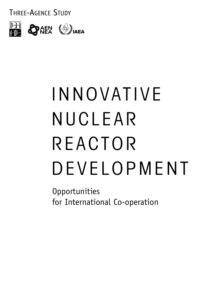# INNOVATIVE NUCLEAR REACTOR DEVELOPMENT

Opportunities for International Co-operation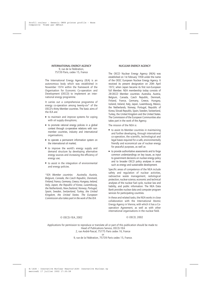#### INTERNATIONAL ENERGY AGENCY

9, rue de la Fédération, 75739 Paris, cedex 15, France

The International Energy Agency (IEA) is an autonomous body which was established in November 1974 within the framework of the Organisation for Economic Co-operation and Development (OECD) to implement an international energy programme.

It carries out a comprehensive programme of energy co-operation among twenty-six\* of the OECD's thirty Member countries. The basic aims of the IEA are:

- to maintain and improve systems for coping with oil supply disruptions:
- to promote rational energy policies in a global context through co-operative relations with nonmember countries, industry and international organisations;
- to operate a permanent information system on the international oil market;
- to improve the world's energy supply and demand structure by developing alternative energy sources and increasing the efficiency of energy use;
- to assist in the integration of environmental and energy policies.

*\*IEA Member countries: Australia, Austria, Belgium, Canada, the Czech Republic, Denmark, Finland, France, Germany, Greece, Hungary, Ireland, Italy, Japan, the Republic of Korea, Luxembourg, the Netherlands, New Zealand, Norway, Portugal, Spain, Sweden, Switzerland, Turkey, the United Kingdom, the United States. The European Commission also takes part in the work of the IEA.*

#### NUCLEAR ENERGY AGENCY

The OECD Nuclear Energy Agency (NEA) was established on 1st February 1958 under the name of the OEEC European Nuclear Energy Agency. It received its present designation on 20th April 1972, when Japan became its first non-European full Member. NEA membership today consists of 28 OECD Member countries: Australia, Austria, Belgium, Canada, Czech Republic, Denmark, Finland, France, Germany, Greece, Hungary, Iceland, Ireland, Italy, Japan, Luxembourg, Mexico, the Netherlands, Norway, Portugal, Republic of Korea, Slovak Republic, Spain, Sweden, Switzerland, Turkey, the United Kingdom and the United States. The Commission of the European Communities also takes part in the work of the Agency.

The mission of the NEA is:

- to assist its Member countries in maintaining and further developing, through international co-operation, the scientific, technological and legal bases required for a safe, environmentally friendly and economical use of nuclear energy for peaceful purposes, as well as
- to provide authoritative assessments and to forge common understandings on key issues, as input to government decisions on nuclear energy policy and to broader OECD policy analyses in areas such as energy and sustainable development.

Specific areas of competence of the NEA include safety and regulation of nuclear activities, radioactive waste management, radiological protection, nuclear science, economic and technical analyses of the nuclear fuel cycle, nuclear law and liability, and public information. The NEA Data Bank provides nuclear data and computer program services for participating countries.

In these and related tasks, the NEA works in close collaboration with the International Atomic Energy Agency in Vienna, with which it has a Cooperation Agreement, as well as with other international organisations in the nuclear field.

#### © OECD/IEA, 2002

#### © OECD, 2002

Applications for permission to reproduce or translate all or part of this publication should be made to: Head of Publications Service, OECD/IEA 2, rue André-Pascal, 75775 Paris cedex 16, France

or

9, rue de la Fédération, 75739 Paris cedex 15, France.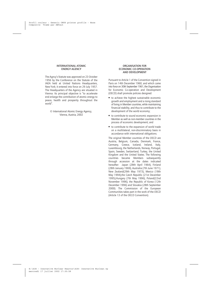#### INTERNATIONAL ATOMIC ENERGY AGENCY

The Agncy's Statute was approved on 23 October 1956 by the Conference on the Statute of the IAEA held at United Nations Headquarters, New York; it entered into force on 29 July 1957. The Headquarters of the Agency are situated in Vienna. Its principal objective is "to accelerate end enlarge the contribution of atomic energy to peace, health and prosperity throughout the world".

© International Atomic Energy Agency, Vienna, Austria, 2002

#### ORGANISATION FOR ECONOMIC CO-OPERATION AND DEVELOPMENT

Pursuant to Article 1 of the Convention signed in Paris on 14th December 1960, and which came into force on 30th September 1961, the Organisation for Economic Co-operation and Development (OECD) shall promote policies designed:

- to achieve the highest sustainable economic growth and employment and a rising standard of living in Member countries, while maintaining financial stability, and thus to contribute to the development of the world economy;
- to contribute to sound economic expansion in Member as well as non-member countries in the process of economic development; and
- to contribute to the expansion of world trade on a multilateral, non-discriminatory basis in accordance with international obligations.

The original Member countries of the OECD are Austria, Belgium, Canada, Denmark, France, Germany, Greece, Iceland, Ireland, Italy, Luxembourg, the Netherlands, Norway, Portugal, Spain, Sweden, Switzerland, Turkey, the United Kingdom and the United States. The following countries became Members subsequently through accession at the dates indicated hereafter: Japan (28th April 1964), Finland (28th January 1969), Australia (7th June 1971), New Zealand(29th May 1973), Mexico (18th May 1994),the Czech Republic (21st December 1995),Hungary (7th May 1996), Poland(22nd November 1996), the Republic of Korea (12th December 1996) and Slovakia (28th September 2000). The Commission of the European Communities takes part in the work of the OECD (Article 13 of the OECD Convention).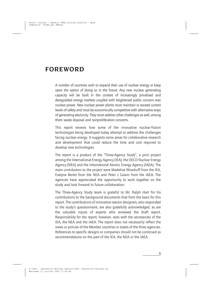## **FOREWORD**

A number of countries wish to expand their use of nuclear energy or keep open the option of doing so in the future. Any new nuclear generating capacity will be built in the context of increasingly privatised and deregulated energy markets coupled with heightened public concern over nuclear power. New nuclear power plants must maintain or exceed current levels of safety and must be economically competitive with alternative ways of generating electricity. They must address other challenges as well, among them waste disposal and nonproliferation concerns.

This report reviews how some of the innovative nuclear-fission technologies being developed today attempt to address the challenges facing nuclear energy. It suggests some areas for collaborative research and development that could reduce the time and cost required to develop new technologies.

The report is a product of the "Three-Agency Study", a joint project among the International Energy Agency (IEA), the OECD Nuclear Energy Agency (NEA) and the International Atomic Energy Agency (IAEA). The main contributors to the project were Madeline Woodruff from the IEA, Evelyne Bertel from the NEA and Peter J. Gowin from the IAEA. The agencies have appreciated the opportunity to work together on the study and look forward to future collaboration.

The Three-Agency Study team is grateful to Mr. Ralph Hart for his contributions to the background documents that form the basis for this report. The contributions of innovative reactor designers, who responded to the study's questionnaire, are also gratefully acknowledged, as are the valuable inputs of experts who reviewed the draft report. Responsibility for the report, however, rests with the secretariats of the IEA, the NEA and the IAEA. The report does not necessarily reflect the views or policies of the Member countries or states of the three agencies. References to specific designs or companies should not be construed as recommendations on the part of the IEA, the NEA or the IAEA.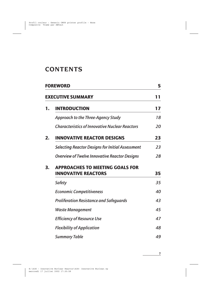# **CONTENTS**

|                          | <b>FOREWORD</b>                                                      |    |  |  |
|--------------------------|----------------------------------------------------------------------|----|--|--|
| <b>EXECUTIVE SUMMARY</b> |                                                                      |    |  |  |
| 1.                       | <b>INTRODUCTION</b>                                                  |    |  |  |
|                          | <b>Approach to the Three-Agency Study</b>                            | 18 |  |  |
|                          | <b>Characteristics of Innovative Nuclear Reactors</b>                | 20 |  |  |
| 2.                       | <b>INNOVATIVE REACTOR DESIGNS</b>                                    | 23 |  |  |
|                          | <b>Selecting Reactor Designs for Initial Assessment</b>              | 23 |  |  |
|                          | <b>Overview of Twelve Innovative Reactor Designs</b>                 | 28 |  |  |
| 3.                       | <b>APPROACHES TO MEETING GOALS FOR</b><br><b>INNOVATIVE REACTORS</b> |    |  |  |
|                          | <b>Safety</b>                                                        | 35 |  |  |
|                          | <b>Economic Competitiveness</b>                                      | 40 |  |  |
|                          | <b>Proliferation Resistance and Safequards</b>                       | 43 |  |  |
|                          | <b>Waste Management</b>                                              | 45 |  |  |
|                          | <b>Efficiency of Resource Use</b>                                    | 47 |  |  |
|                          | <b>Flexibility of Application</b>                                    | 48 |  |  |
|                          | <b>Summary Table</b>                                                 | 49 |  |  |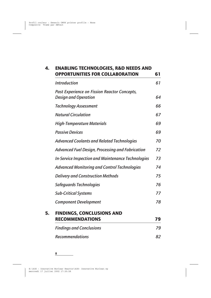| <b>ENABLING TECHNOLOGIES, R&amp;D NEEDS AND</b><br><b>OPPORTUNITIES FOR COLLABORATION</b> |    |  |  |  |
|-------------------------------------------------------------------------------------------|----|--|--|--|
| <b>Introduction</b>                                                                       | 61 |  |  |  |
| <b>Past Experience on Fission Reactor Concepts,</b><br><b>Design and Operation</b>        | 64 |  |  |  |
| <b>Technology Assessment</b>                                                              | 66 |  |  |  |
| <b>Natural Circulation</b>                                                                | 67 |  |  |  |
| <b>High-Temperature Materials</b>                                                         | 69 |  |  |  |
| <b>Passive Devices</b>                                                                    | 69 |  |  |  |
| <b>Advanced Coolants and Related Technologies</b>                                         | 70 |  |  |  |
| <b>Advanced Fuel Design, Processing and Fabrication</b>                                   | 72 |  |  |  |
| <b>In-Service Inspection and Maintenance Technologies</b>                                 | 73 |  |  |  |
| <b>Advanced Monitoring and Control Technologies</b>                                       | 74 |  |  |  |
| <b>Delivery and Construction Methods</b>                                                  | 75 |  |  |  |
| <b>Safeguards Technologies</b>                                                            | 76 |  |  |  |
| <b>Sub-Critical Systems</b>                                                               | 77 |  |  |  |
| <b>Component Development</b>                                                              | 78 |  |  |  |
| <b>FINDINGS, CONCLUSIONS AND</b><br><b>RECOMMENDATIONS</b>                                | 79 |  |  |  |
| <b>Findings and Conclusions</b>                                                           | 79 |  |  |  |
| <b>Recommendations</b>                                                                    | 82 |  |  |  |

**8**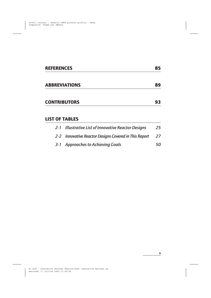| <b>REFERENCES</b> |  |
|-------------------|--|
|-------------------|--|

| <b>ABBREVIATIONS</b> |  |
|----------------------|--|
|                      |  |

## CONTRIBUTORS 93

## LIST OF TABLES

|  | 2-1 Illustrative List of Innovative Reactor Designs      | 25 |
|--|----------------------------------------------------------|----|
|  | 2-2 Innovative Reactor Designs Covered in This Report 27 |    |
|  | 3-1 Approaches to Achieving Goals                        | 50 |

 $\begin{array}{c} \begin{array}{c} \begin{array}{c} \begin{array}{c} \end{array} \\ \end{array} \end{array} \end{array}$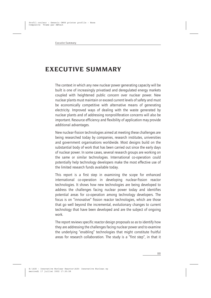# **EXECUTIVE SUMMARY**

The context in which any new nuclear power generating capacity will be built is one of increasingly privatised and deregulated energy markets coupled with heightened public concern over nuclear power. New nuclear plants must maintain or exceed current levels of safety and must be economically competitive with alternative means of generating electricity. Improved ways of dealing with the waste generated by nuclear plants and of addressing nonproliferation concerns will also be important. Resource efficiency and flexibility of application may provide additional advantages.

New nuclear-fission technologies aimed at meeting these challenges are being researched today by companies, research institutes, universities and government organisations worldwide. Most designs build on the substantial body of work that has been carried out since the early days of nuclear power. In some cases, several research groups are working on the same or similar technologies. International co-operation could potentially help technology developers make the most effective use of the limited research funds available today.

This report is a first step in examining the scope for enhanced international co-operation in developing nuclear-fission reactor technologies. It shows how new technologies are being developed to address the challenges facing nuclear power today and identifies potential areas for co-operation among technology developers. The focus is on "innovative" fission reactor technologies, which are those that go well beyond the incremental, evolutionary changes to current technology that have been developed and are the subject of ongoing work.

The report reviews specific reactor design proposals so as to identify how they are addressing the challenges facing nuclear power and to examine the underlying "enabling" technologies that might constitute fruitful areas for research collaboration. The study is a "first step", in that it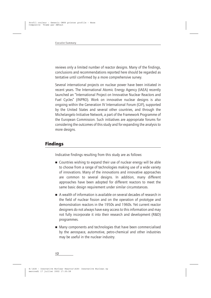reviews only a limited number of reactor designs. Many of the findings, conclusions and recommendations reported here should be regarded as tentative until confirmed by a more comprehensive survey.

Several international projects on nuclear power have been initiated in recent years. The International Atomic Energy Agency (IAEA) recently launched an "International Project on Innovative Nuclear Reactors and Fuel Cycles" (INPRO). Work on innovative nuclear designs is also ongoing within the Generation IV International Forum (GIF), supported by the United States and several other countries, and through the Michelangelo Initiative Network, a part of the Framework Programme of the European Commission. Such initiatives are appropriate forums for considering the outcomes of this study and for expanding the analysis to more designs.

## Findings

Indicative findings resulting from this study are as follows:

- Countries wishing to expand their use of nuclear energy will be able to choose from a range of technologies making use of a wide variety of innovations. Many of the innovations and innovative approaches are common to several designs. In addition, many different approaches have been adopted for different reactors to meet the same basic design requirement under similar circumstances.
- A wealth of information is available on several decades of research in the field of nuclear fission and on the operation of prototype and demonstration reactors in the 1950s and 1960s. Yet current reactor designers do not always have easy access to this information and may not fully incorporate it into their research and development (R&D) programmes.
- Many components and technologies that have been commercialised by the aerospace, automotive, petro-chemical and other industries may be useful in the nuclear industry.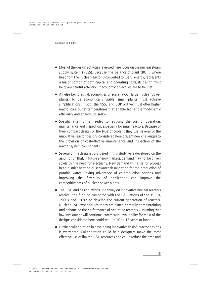- $\blacksquare$  Most of the design activities reviewed here focus on the nuclear steam supply system (NSSS). Because the balance-of-plant (BOP), where heat from the nuclear reactor is converted to useful energy, represents a major portion of both capital and operating costs, its design must be given careful attention if economic objectives are to be met.
- All else being equal, economies of scale favour large nuclear power plants. To be economically viable, small plants must achieve simplifications in both the NSSS and BOP or they must offer higher reactor-core outlet temperatures that enable higher thermodynamic efficiency and energy utilisation.
- Specific attention is needed to reducing the cost of operation, maintenance and inspection, especially for small reactors. Because of their compact design or the type of coolant they use, several of the innovative reactor designs considered here present new challenges to the provision of cost-effective maintenance and inspection of the reactor system components.
- Several of the designs considered in this study were developed on the assumption that, in future energy markets, demand may not be driven solely by the need for electricity. New demand will arise for process heat, district heating or seawater desalination for the production of potable water. Taking advantage of co-production options and improving the flexibility of application can improve the competitiveness of nuclear power plants.
- The R&D and design efforts underway on innovative nuclear reactors receive little funding compared with the R&D efforts of the 1950s, 1960s and 1970s to develop the current generation of reactors. Nuclear R&D expenditures today are aimed primarily at maintaining and enhancing the performance of operating reactors. Assuming that low investment will continue, commercial availability for most of the designs considered here could require 10 to 15 years or longer.
- Further collaboration in developing innovative fission reactor designs is warranted. Collaboration could help designers make the most effective use of limited R&D resources and could reduce the time and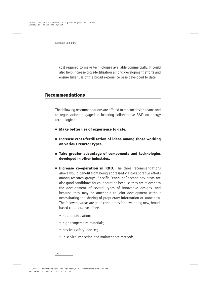cost required to make technologies available commercially. It could also help increase cross-fertilisation among development efforts and ensure fuller use of the broad experience base developed to date.

#### Recommendations

The following recommendations are offered to reactor design teams and to organisations engaged in fostering collaborative R&D on energy technologies:

- **Make better use of experience to date.**
- Increase cross-fertilisation of ideas among those working on various reactor types.
- Take greater advantage of components and technologies developed in other industries.
- **Increase co-operation in R&D.** The three recommendations above would benefit from being addressed via collaborative efforts among research groups. Specific "enabling" technology areas are also good candidates for collaboration because they are relevant to the development of several types of innovative designs, and because they may be amenable to joint development without necessitating the sharing of proprietary information or know-how. The following areas are good candidates for developing new, broadbased collaborative efforts:
	- natural circulation:
	- high-temperature materials;
	- passive (safety) devices;
	- in-service inspection and maintenance methods;
- **14**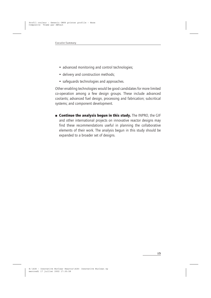- advanced monitoring and control technologies;
- delivery and construction methods;
- safeguards technologies and approaches.

Other enabling technologies would be good candidates for more limited co-operation among a few design groups. These include advanced coolants; advanced fuel design, processing and fabrication; subcritical systems; and component development.

**E** Continue the analysis begun in this study. The INPRO, the GIF and other international projects on innovative reactor designs may find these recommendations useful in planning the collaborative elements of their work. The analysis begun in this study should be expanded to a broader set of designs.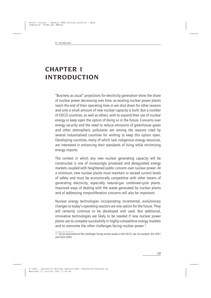# **CHAPTER 1 INTRODUCTION**

"Business as usual" projections for electricity generation show the share of nuclear power decreasing over time, as existing nuclear power plants reach the end of their operating lives or are shut down for other reasons and only a small amount of new nuclear capacity is built. But a number of OECD countries, as well as others, wish to expand their use of nuclear energy or keep open the option of doing so in the future. Concerns over energy security and the need to reduce emissions of greenhouse gases and other atmospheric pollutants are among the reasons cited by several industrialised countries for wishing to keep this option open. Developing countries, many of which lack indigenous energy resources, are interested in enhancing their standards of living while minimising energy imports.

The context in which any new nuclear generating capacity will be constructed is one of increasingly privatised and deregulated energy markets coupled with heightened public concern over nuclear power. At a minimum, new nuclear plants must maintain or exceed current levels of safety and must be economically competitive with other means of generating electricity, especially natural-gas combined-cycle plants. Improved ways of dealing with the waste generated by nuclear plants and of addressing nonproliferation concerns will also be important.

Nuclear energy technologies incorporating incremental, evolutionary changes to today's operating reactors are one option for the future. They will certainly continue to be developed and used. But additional, innovative technologies are likely to be needed if new nuclear power plants are to compete successfully in highly-competitive energy markets and to overcome the other challenges facing nuclear power.<sup>1</sup>

*<sup>1.</sup> For an assessment of the challenges facing nuclear power in the OECD, see, for example, IEA 2001 and NEA 2000.*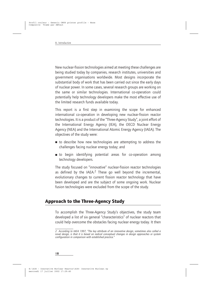New nuclear-fission technologies aimed at meeting these challenges are being studied today by companies, research institutes, universities and government organisations worldwide. Most designs incorporate the substantial body of work that has been carried out since the early days of nuclear power. In some cases, several research groups are working on the same or similar technologies. International co-operation could potentially help technology developers make the most effective use of the limited research funds available today.

This report is a first step in examining the scope for enhanced international co-operation in developing new nuclear-fission reactor technologies. It is a product of the "Three-Agency Study", a joint effort of the International Energy Agency (IEA), the OECD Nuclear Energy Agency (NEA) and the International Atomic Energy Agency (IAEA). The objectives of the study were:

- to describe how new technologies are attempting to address the challenges facing nuclear energy today; and
- to begin identifying potential areas for co-operation among technology developers.

The study focused on "innovative" nuclear-fission reactor technologies as defined by the  $IAEA$ <sup>2</sup> These go well beyond the incremental, evolutionary changes to current fission reactor technology that have been developed and are the subject of some ongoing work. Nuclear fusion technologies were excluded from the scope of the study.

#### Approach to the Three-Agency Study

To accomplish the Three-Agency Study's objectives, the study team developed a list of six general "characteristics" of nuclear reactors that could help overcome the obstacles facing nuclear energy today. It then

*<sup>2.</sup> According to IAEA 1997, "The key attribute of an innovative design, sometimes also called a novel design, is that it is based on radical conceptual changes in design approaches or system configuration in comparison with established practice."*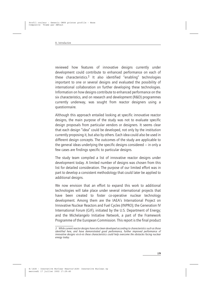reviewed how features of innovative designs currently under development could contribute to enhanced performance on each of these characteristics.<sup>3</sup> It also identified "enabling" technologies important to one or several designs and evaluated the possibility of international collaboration on further developing these technologies. Information on how designs contribute to enhanced performance on the six characteristics, and on research and development (R&D) programmes currently underway, was sought from reactor designers using a questionnaire.

Although this approach entailed looking at specific innovative reactor designs, the main purpose of the study was not to evaluate specific design proposals from particular vendors or designers. It seems clear that each design "idea" could be developed, not only by the institution currently proposing it, but also by others. Each idea could also be used in different design concepts. The outcomes of the study are applicable to the general ideas underlying the specific designs considered — in only a few cases are findings specific to particular designs.

The study team compiled a list of innovative reactor designs under development today. A limited number of designs was chosen from this list for detailed consideration. The purpose of our limited effort was in part to develop a consistent methodology that could later be applied to additional designs.

We now envision that an effort to expand this work to additional technologies will take place under several international projects that have been created to foster co-operative nuclear technology development. Among them are the IAEA's International Project on Innovative Nuclear Reactors and Fuel Cycles (INPRO); the Generation IV International Forum (GIF), initiated by the U.S. Department of Energy; and the Michelangelo Initiative Network, a part of the Framework Programme of the European Commission. This report is the final product

*<sup>3.</sup> While current reactor designs have also been developed according to characteristics such as those identified here, and have demonstrated good performance, further improved performance of innovative designs vis-à-vis these characteristics could help overcome the obstacles facing nuclear energy today.*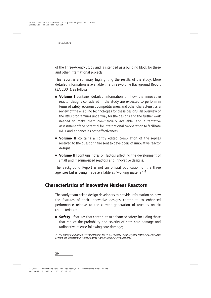of the Three-Agency Study and is intended as a building block for these and other international projects.

This report is a summary highlighting the results of the study. More detailed information is available in a three-volume Background Report (3A 2001), as follows:

- **E** Volume I contains detailed information on how the innovative reactor designs considered in the study are expected to perform in terms of safety, economic competitiveness and other characteristics; a review of the enabling technologies for these designs; an overview of the R&D programmes under way for the designs and the further work needed to make them commercially available; and a tentative assessment of the potential for international co-operation to facilitate R&D and enhance its cost-effectiveness.
- **volume II** contains a lightly edited compilation of the replies received to the questionnaire sent to developers of innovative reactor designs.
- **volume III** contains notes on factors affecting the development of small and medium-sized reactors and innovative designs.

The Background Report is not an official publication of the three agencies but is being made available as "working material".4

## Characteristics of Innovative Nuclear Reactors

The study team asked design developers to provide information on how the features of their innovative designs contribute to enhanced performance relative to the current generation of reactors on six characteristics:

**Safety** – features that contribute to enhanced safety, including those that reduce the probability and severity of both core damage and radioactive release following core damage;

*<sup>4.</sup> The Background Report is available from the OECD Nuclear Energy Agency (http: //www.nea.fr) or from the International Atomic Energy Agency (http://www.iaea.org).*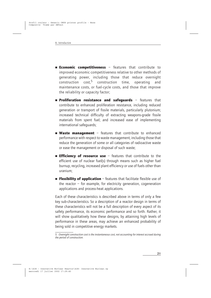- **Economic competitiveness** features that contribute to improved economic competitiveness relative to other methods of generating power, including those that reduce overnight construction  $cost.^5$  construction time, operating and maintenance costs, or fuel-cycle costs, and those that improve the reliability or capacity factor;
- **Proliferation resistance and safeguards** features that contribute to enhanced proliferation resistance, including reduced generation or transport of fissile materials, particularly plutonium; increased technical difficulty of extracting weapons-grade fissile materials from spent fuel; and increased ease of implementing international safeguards;
- **Waste management** features that contribute to enhanced performance with respect to waste management, including those that reduce the generation of some or all categories of radioactive waste or ease the management or disposal of such waste;
- **Efficiency of resource use**  $-$  features that contribute to the efficient use of nuclear fuel(s) through means such as higher fuel burnup, recycling, increased plant efficiency or use of fuels other than uranium;
- **Flexibility of application**  $-$  features that facilitate flexible use of the reactor  $-$  for example, for electricity generation, cogeneration applications and process-heat applications.

Each of these characteristics is described above in terms of only a few key sub-characteristics. So a description of a reactor design in terms of these characteristics will not be a full description of every aspect of its safety performance, its economic performance and so forth. Rather, it will show qualitatively how these designs, by attaining high levels of performance in these areas, may achieve an enhanced probability of being sold in competitive energy markets.

*<sup>5.</sup> Overnight construction cost is the instantaneous cost, not accounting for interest accrued during the period of construction.*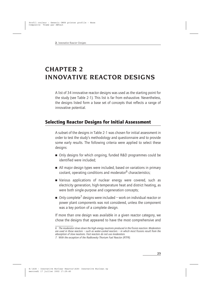# **CHAPTER 2 INNOVATIVE REACTOR DESIGNS**

A list of 34 innovative reactor designs was used as the starting point for the study (see Table 2-1). This list is far from exhaustive. Nevertheless, the designs listed form a base set of concepts that reflects a range of innovative potential.

## Selecting Reactor Designs for Initial Assessment

A subset of the designs in Table 2-1 was chosen for initial assessment in order to test the study's methodology and questionnaire and to provide some early results. The following criteria were applied to select these designs:

- Only designs for which ongoing, funded R&D programmes could be identified were included;
- All major design types were included, based on variations in primary coolant, operating conditions and moderator $6$  characteristics;
- Various applications of nuclear energy were covered, such as electricity generation, high-temperature heat and district heating, as were both single-purpose and cogeneration concepts;
- $\Box$  Only complete<sup>7</sup> designs were included work on individual reactor or power plant components was not considered, unless the component was a key portion of a complete design.

If more than one design was available in a given reactor category, we chose the designs that appeared to have the most comprehensive and

*<sup>6.</sup> The moderator slows down the high-energy neutrons produced in the fission reaction. Moderators are used in those reactors – such as water-cooled reactors – in which most fissions result from the absorption of slow neutrons. Fast reactors do not use moderators.*

*<sup>7.</sup> With the exception of the Radkowsky Thorium Fuel Reactor (RTFR).*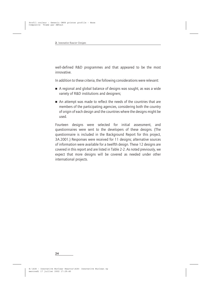well-defined R&D programmes and that appeared to be the most innovative.

In addition to these criteria, the following considerations were relevant:

- A regional and global balance of designs was sought, as was a wide variety of R&D institutions and designers;
- An attempt was made to reflect the needs of the countries that are members of the participating agencies, considering both the country of origin of each design and the countries where the designs might be used.

Fourteen designs were selected for initial assessment, and questionnaires were sent to the developers of these designs. (The questionnaire is included in the Background Report for this project, 3A 2001.) Responses were received for 11 designs; alternative sources of information were available for a twelfth design. These 12 designs are covered in this report and are listed in Table 2-2. As noted previously, we expect that more designs will be covered as needed under other international projects.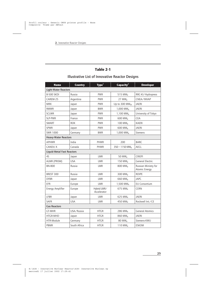## Table 2-1

## Illustrative List of Innovative Reactor Designs

| <b>Name</b>                       | <b>Country</b>                       | Type <sup>1</sup> | Capacity $2$                 | <b>Developer</b>                      |  |  |
|-----------------------------------|--------------------------------------|-------------------|------------------------------|---------------------------------------|--|--|
| <b>Light-Water Reactors</b>       |                                      |                   |                              |                                       |  |  |
| <b>B-500 SKDI</b>                 | Russia                               | <b>PWR</b>        | 515 MW $_{\rm e}$            | RRC-KI/Hydropress                     |  |  |
| CAREM-25                          | Argentina                            | <b>PWR</b>        | 27 MW <sub>e</sub>           | CNEA/INVAP                            |  |  |
| <b>MRX</b>                        | Japan                                | <b>PWR</b>        | Up to 300 MW <sub>th</sub>   | <b>JAERI</b>                          |  |  |
| <b>RMWR</b>                       | Japan                                | <b>BWR</b>        | 1,000 MW <sub>e</sub>        | <b>JAERI</b>                          |  |  |
| <b>SCLWR</b>                      | Japan                                | <b>PWR</b>        | 1,100 MW <sub>e</sub>        | University of Tokyo                   |  |  |
| SLP-PWR                           | France                               | <b>PWR</b>        | 600 MW <sub>e</sub>          | <b>CEA</b>                            |  |  |
| SMART                             | <b>ROK</b>                           | <b>PWR</b>        | 100 MW <sub>e</sub>          | KAERI                                 |  |  |
| <b>SPWR</b>                       | Japan                                | <b>PWR</b>        | 600 MW <sub>e</sub>          | <b>JAERI</b>                          |  |  |
| <b>SWR 1000</b>                   | Germany                              | <b>BWR</b>        | 1,000 MW <sub>e</sub>        | Siemens                               |  |  |
| <b>Heavy-Water Reactors</b>       |                                      |                   |                              |                                       |  |  |
| <b>APHWR</b>                      | India                                | PHWR              | 200                          | <b>BARC</b>                           |  |  |
| CANDU X                           | Canada                               | <b>PHWR</b>       | $350 - 1150$ MW <sub>e</sub> | AECL                                  |  |  |
| <b>Liquid-Metal Fast Reactors</b> |                                      |                   |                              |                                       |  |  |
| 4S                                | Japan                                | LMR               | 50 MW <sub>e</sub>           | <b>CRIEPI</b>                         |  |  |
| ALMR (PRISM)                      | <b>USA</b>                           | LMR               | 150 MW <sub>e</sub>          | General Electric                      |  |  |
| <b>BN-800</b>                     | Russia                               | <b>LMR</b>        | 800 MW <sub>e</sub>          | Russian Ministry for<br>Atomic Energy |  |  |
| BREST 300                         | Russia                               | <b>LMR</b>        | 300 MW <sub>e</sub>          | <b>RDIPE</b>                          |  |  |
| <b>DFBR</b>                       | Japan                                | <b>LMR</b>        | 660 MW <sub>e</sub>          | <b>JAPC</b>                           |  |  |
| <b>EFR</b>                        | Europe                               | LMR               | 1,500 MW <sub>e</sub>        | <b>EU Consortium</b>                  |  |  |
| <b>Energy Amplifier</b>           | Hybrid LMR/<br>Europe<br>Accelerator |                   | 675 MW <sub>e</sub>          | <b>CERN</b>                           |  |  |
| <b>LFBR</b>                       | Japan                                | LMR               | 625 MW <sub>e</sub>          | <b>JAERI</b>                          |  |  |
| <b>SAFR</b>                       | <b>USA</b>                           | <b>LMR</b>        | 450 MW <sub>e</sub>          | Rockwell Int./CE                      |  |  |
| <b>Gas Reactors</b>               |                                      |                   |                              |                                       |  |  |
| <b>GT-MHR</b>                     | USA/Russia                           | <b>HTGR</b>       | 286 MW <sub>e</sub>          | <b>General Atomics</b>                |  |  |
| HTGR-MHD                          | Japan                                | <b>HTGR</b>       | 860 MW <sub>e</sub>          | <b>JAERI</b>                          |  |  |
| HTR-Module                        | Germany                              | <b>HTGR</b>       | 80 MW <sub>e</sub>           | Siemens-KWU                           |  |  |
| <b>PBMR</b>                       | South Africa                         | <b>HTGR</b>       | 110 MW $_{\rm e}$            | <b>ESKOM</b>                          |  |  |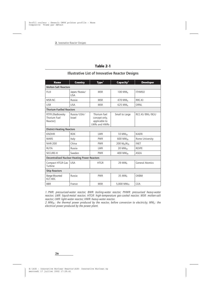#### Table 2-1

#### Illustrative List of Innovative Reactor Designs

| <b>Name</b>                                         | <b>Country</b>              | Type <sup>1</sup>                                               | Capacity <sup>2</sup> | <b>Developer</b>       |
|-----------------------------------------------------|-----------------------------|-----------------------------------------------------------------|-----------------------|------------------------|
| <b>Molten-Salt Reactors</b>                         |                             |                                                                 |                       |                        |
| <b>FUJI</b>                                         | Japan/Russia/<br><b>USA</b> | <b>MSR</b>                                                      | 100 MW <sub>e</sub>   | <b>ITHMSO</b>          |
| MSR-NC                                              | Russia                      | <b>MSR</b>                                                      | 470 MW <sub>e</sub>   | RRC-KI                 |
| <b>USR</b>                                          | <b>USA</b>                  | <b>MSR</b>                                                      | $625$ MW <sub>e</sub> | ORNL                   |
| <b>Thorium-Fuelled Reactors</b>                     |                             |                                                                 |                       |                        |
| RTFR (Radkowsky<br>Thorium Fuel<br>Reactor)         | Russia/USA/<br>Israel       | Thorium fuel<br>concept only,<br>applicable to<br>LWRs and HWRs | Small to Large        | RCC-KI/BNL/BGU         |
| <b>District-Heating Reactors</b>                    |                             |                                                                 |                       |                        |
| <b>KNDHR</b>                                        | <b>ROK</b>                  | <b>LWR</b>                                                      | 10 MW <sub>th</sub>   | <b>KAERI</b>           |
| <b>MARS</b>                                         | Italy                       | <b>PWR</b>                                                      | 600 MW <sub>th</sub>  | Rome University        |
| <b>NHR-200</b>                                      | China                       | <b>PWR</b>                                                      | $200$ Mth $W_{th}$    | <b>INET</b>            |
| <b>RUTA</b>                                         | Russia                      | <b>LWR</b>                                                      | 20 MW <sub>th</sub>   | <b>RDIPF</b>           |
| SECURE-H                                            | Sweden                      | <b>PWR</b>                                                      | 400 MW <sub>th</sub>  | <b>ASEA</b>            |
| <b>Decentralised Nuclear-Heating Power Reactors</b> |                             |                                                                 |                       |                        |
| Compact HTGR Gas<br>Turbine                         | <b>USA</b>                  | <b>HTGR</b>                                                     | 29 MW <sub>e</sub>    | <b>General Atomics</b> |
| <b>Ship Reactors</b>                                |                             |                                                                 |                       |                        |
| Barge-Mounted<br>KLT-40C                            | Russia                      | <b>PWR</b>                                                      | 35 MW <sub>e</sub>    | OKBM                   |
| <b>BBR</b>                                          | France                      | <b>MSR</b>                                                      | 5,000 MWth            | <b>CEA</b>             |

*1. PWR: pressurised-water reactor; BWR: boiling-water reactor; PHWR: pressurised heavy-water reactor; LMR: liquid-metal reactor; HTGR: high-temperature gas-cooled reactor; MSR: molten-salt reactor; LWR: light-water reactor; HWR: heavy-water reactor.*

*2. MWth : the thermal power produced by the reactor, before conversion to electricity; MWe : the electrical power produced by the power plant.*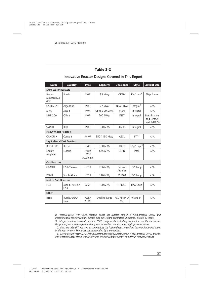#### Table 2-2

#### Innovative Reactor Designs Covered in This Report

| <b>Name</b>                       | <b>Country</b>              | <b>Type</b>                   | <b>Capacity</b>          | <b>Developer</b>          | <b>Style</b>           | <b>Current Use</b>                           |  |
|-----------------------------------|-----------------------------|-------------------------------|--------------------------|---------------------------|------------------------|----------------------------------------------|--|
| <b>Light-Water Reactors</b>       |                             |                               |                          |                           |                        |                                              |  |
| Barge-<br>Mounted KLT-<br>40C     | Russia                      | <b>PWR</b>                    | 35 MW <sub>e</sub>       | OKBM                      | PV/Loop <sup>8</sup>   | Ship Power                                   |  |
| CAREM-25                          | Argentina                   | <b>PWR</b>                    | 27 MW <sub>e</sub>       | CNEA/INVAP                | Integral <sup>9</sup>  | N/A                                          |  |
| <b>MRX</b>                        | Japan                       | <b>PWR</b>                    | Up to 300 MWth           | <b>JAERI</b>              | Integral               | N/A                                          |  |
| <b>NHR-200</b>                    | China                       | <b>PWR</b>                    | 200 MW <sub>th</sub>     | <b>INET</b>               | Integral               | Desalination<br>and District<br>Heat (NHR 5) |  |
| SMART                             | <b>ROK</b>                  | <b>PWR</b>                    | 100 MW <sub>e</sub>      | <b>KAERI</b>              | Integral               | N/A                                          |  |
| <b>Heavy-Water Reactors</b>       |                             |                               |                          |                           |                        |                                              |  |
| CANDU X                           | Canada                      | PHWR                          | 350-1150 MW <sub>e</sub> | AECL                      | PT <sup>10</sup>       | N/A                                          |  |
| <b>Liquid-Metal Fast Reactors</b> |                             |                               |                          |                           |                        |                                              |  |
| BREST 300                         | Russia                      | LMR                           | 300 MW <sub>e</sub>      | <b>RDIPE</b>              | LPV/Loop <sup>11</sup> | N/A                                          |  |
| Energy<br>Amplifier               | Europe                      | Hybrid<br>LMR/<br>Accelerator | 675 MW <sub>e</sub>      | <b>CERN</b>               | Pool                   | N/A                                          |  |
| <b>Gas Reactors</b>               |                             |                               |                          |                           |                        |                                              |  |
| <b>GT-MHR</b>                     | USA/Russia                  | <b>HTGR</b>                   | 286 MW <sub>e</sub>      | General<br><b>Atomics</b> | PV/Loop                | N/A                                          |  |
| <b>PBMR</b>                       | South Africa                | <b>HTGR</b>                   | 110 MW <sub>e</sub>      | <b>ESKOM</b>              | PV/Loop                | N/A                                          |  |
| <b>Molten-Salt Reactors</b>       |                             |                               |                          |                           |                        |                                              |  |
| <b>FUJI</b>                       | Japan/Russia/<br><b>USA</b> | <b>MSR</b>                    | 100 MW <sub>e</sub>      | <b>ITHMSO</b>             | LPV/Loop               | N/A                                          |  |
| Other                             |                             |                               |                          |                           |                        |                                              |  |
| <b>RTFR</b>                       | Russia/USA/<br>Israel       | PWR/<br><b>PHWR</b>           | Small to Large           | RCC-KI/BNL/<br><b>BGU</b> | PV and PT              | N/A                                          |  |

*<sup>8.</sup> Pressure-vessel (PV)/loop reactors house the reactor core in a high-pressure vessel and accommodate reactor coolant pumps and any steam generators in external circuits or loops.*

*<sup>9.</sup> Integral reactors house all principal NSSS components, including the reactor core, the pressuriser, the primary heat exchangers and any reactor coolant pumps, in a single pressure vessel.*

*<sup>10.</sup> Pressure-tube (PT) reactors accommodate the fuel and reactor coolant in several hundred tubes in the reactor core. The tubes are surrounded by a moderator.*

*<sup>11.</sup> Low-pressure vessel (LPV)/loop reactors house the reactor core in a low-pressure vessel or tank, and accommodate steam generators and reactor coolant pumps in external circuits or loops.*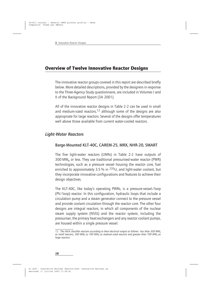## Overview of Twelve Innovative Reactor Designs

The innovative reactor groups covered in this report are described briefly below. More detailed descriptions, provided by the designers in response to the Three-Agency Study questionnaire, are included in Volumes I and II of the Background Report (3A 2001).

All of the innovative reactor designs in Table 2-2 can be used in small and medium-sized reactors,<sup>12</sup> although some of the designs are also appropriate for large reactors. Several of the designs offer temperatures well above those available from current water-cooled reactors.

#### *Light-Water Reactors*

#### Barge-Mounted KLT-40C, CAREM-25, MRX, NHR-20, SMART

The five light-water reactors (LWRs) in Table 2-2 have outputs of 300 MWe or less. They use traditional pressurised-water reactor (PWR) technologies, such as a pressure vessel housing the reactor core, fuel enriched to approximately 3.5 % in 235U, and light-water coolant, but they incorporate innovative configurations and features to achieve their design objectives.

The KLT-40C, like today's operating PWRs, is a pressure-vessel/loop (PV/loop) reactor. In this configuration, hydraulic loops that include a circulation pump and a steam generator connect to the pressure vessel and provide coolant circulation through the reactor core. The other four designs are integral reactors, in which all components of the nuclear steam supply system (NSSS) and the reactor system, including the pressuriser, the primary heat exchangers and any reactor coolant pumps, are housed within a single pressure vessel.

*<sup>12.</sup> The IAEA classifies reactors according to their electrical output as follows: less than 300 MWe as small reactors, 300 MWe to 700 MWe as medium-sized reactors and greater than 700 MWe as large reactors.*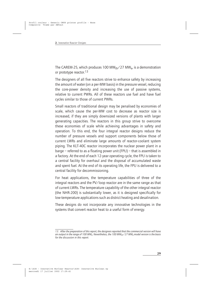The CAREM-25, which produces 100 MW<sub>th</sub>/27 MW<sub>e</sub>, is a demonstration or prototype reactor.<sup>13</sup>

The designers of all five reactors strive to enhance safety by increasing the amount of water (on a per-MW basis) in the pressure vessel, reducing the core-power density and increasing the use of passive systems, relative to current PWRs. All of these reactors use fuel and have fuel cycles similar to those of current PWRs.

Small reactors of traditional design may be penalised by economies of scale, which cause the per-MW cost to decrease as reactor size is increased, if they are simply downsized versions of plants with larger generating capacities. The reactors in this group strive to overcome these economies of scale while achieving advantages in safety and operation. To this end, the four integral reactor designs reduce the number of pressure vessels and support components below those of current LWRs and eliminate large amounts of reactor-coolant system piping. The KLT-40C reactor incorporates the nuclear power plant in a barge – referred to as a floating power unit (FPU) – that is assembled in a factory. At the end of each 12-year operating cycle, the FPU is taken to a central facility for overhaul and the disposal of accumulated waste and spent fuel. At the end of its operating life, the FPU is delivered to a central facility for decommissioning.

For heat applications, the temperature capabilities of three of the integral reactors and the PV/loop reactor are in the same range as that of current LWRs. The temperature capability of the other integral reactor (the NHR-200) is substantially lower, as it is designed specifically for low-temperature applications such as district heating and desalination.

These designs do not incorporate any innovative technologies in the systems that convert reactor heat to a useful form of energy.

*<sup>13.</sup> After the preparation of this report, the designers reported that the commercial version will have an output in the range of 100 MWe. Nevertheless, the 100 MWth/27 MWe model version is the basis for the discussion in this report.*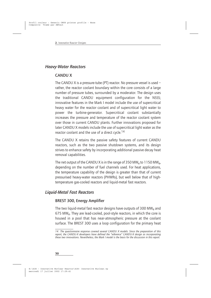#### *Heavy-Water Reactors*

#### CANDU X

The CANDU X is a pressure-tube (PT) reactor. No pressure vessel is used – rather, the reactor coolant boundary within the core consists of a large number of pressure tubes, surrounded by a moderator. The design uses the traditional CANDU equipment configuration for the NSSS; innovative features in the Mark I model include the use of supercritical heavy water for the reactor coolant and of supercritical light water to power the turbine-generator. Supercritical coolant substantially increases the pressure and temperature of the reactor coolant system over those in current CANDU plants. Further innovations proposed for later CANDU X models include the use of supercritical light water as the reactor coolant and the use of a direct cycle.14

The CANDU X retains the passive safety features of current CANDU reactors, such as the two passive shutdown systems, and its design strives to enhance safety by incorporating additional passive decay heat removal capabilities.

The net output of the CANDU X is in the range of 350 MW<sub>e</sub> to 1150 MW<sub>e</sub>, depending on the number of fuel channels used. For heat applications, the temperature capability of the design is greater than that of current pressurised heavy-water reactors (PHWRs), but well below that of hightemperature gas-cooled reactors and liquid-metal fast reactors.

#### *Liquid-Metal Fast Reactors*

#### BREST 300, Energy Amplifier

The two liquid-metal fast reactor designs have outputs of 300 MW<sub>e</sub> and 675 MWe. They are lead-cooled, pool-style reactors, in which the core is housed in a pool that has near-atmospheric pressure at the coolant surface. The BREST 300 uses a loop configuration for the primary heat

*<sup>14.</sup> The questionnaire response covered several CANDU X models. Since the preparation of this report, the CANDU-X developers have defined the "reference" CANDU-X design as incorporating these two innovations. Nevertheless, the Mark I model is the basis for the discussion in this report.*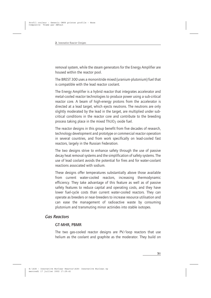removal system, while the steam generators for the Energy Amplifier are housed within the reactor pool.

The BREST 300 uses a mononitride mixed (uranium-plutonium) fuel that is compatible with the lead reactor coolant.

The Energy Amplifier is a hybrid reactor that integrates accelerator and metal-cooled reactor technologies to produce power using a sub-critical reactor core. A beam of high-energy protons from the accelerator is directed at a lead target, which ejects neutrons. The neutrons are only slightly moderated by the lead in the target, are multiplied under subcritical conditions in the reactor core and contribute to the breeding process taking place in the mixed ThUO<sub>2</sub> oxide fuel.

The reactor designs in this group benefit from five decades of research, technology development and prototype or commercial reactor operation in several countries, and from work specifically on lead-cooled fast reactors, largely in the Russian Federation.

The two designs strive to enhance safety through the use of passive decay heat removal systems and the simplification of safety systems. The use of lead coolant avoids the potential for fires and for water-coolant reactions associated with sodium.

These designs offer temperatures substantially above those available from current water-cooled reactors, increasing thermodynamic efficiency. They take advantage of this feature as well as of passive safety features to reduce capital and operating costs, and they have lower fuel-cycle costs than current water-cooled reactors. They can operate as breeders or near-breeders to increase resource utilisation and can ease the management of radioactive waste by consuming plutonium and transmuting minor actinides into stable isotopes.

#### *Gas Reactors*

#### GT-MHR, PBMR

The two gas-cooled reactor designs are PV/loop reactors that use helium as the coolant and graphite as the moderator. They build on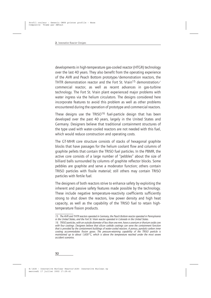developments in high-temperature gas-cooled reactor (HTGR) technology over the last 40 years. They also benefit from the operating experience of the AVR and Peach Bottom prototype/demonstration reactors, the THTR demonstration reactor and the Fort St. Vrain<sup>15</sup> demonstration/ commercial reactor, as well as recent advances in gas-turbine technology. The Fort St. Vrain plant experienced major problems with water ingress via the helium circulators. The designs considered here incorporate features to avoid this problem as well as other problems encountered during the operation of prototype and commercial reactors.

These designs use the  $TRISO<sup>16</sup>$  fuel-particle design that has been developed over the past 40 years, largely in the United States and Germany. Designers believe that traditional containment structures of the type used with water-cooled reactors are not needed with this fuel, which would reduce construction and operating costs.

The GT-MHR core structure consists of stacks of hexagonal graphite blocks that have passages for the helium coolant flow and columns of graphite pellets that contain the TRISO fuel particles. In the PBMR, the active core consists of a large number of "pebbles" about the size of billiard balls surrounded by columns of graphite reflector blocks. Some pebbles are graphite and serve a moderator function; others contain TRISO particles with fissile material; still others may contain TRISO particles with fertile fuel.

The designers of both reactors strive to enhance safety by exploiting the inherent and passive safety features made possible by the technology. These include negative temperature-reactivity coefficients sufficiently strong to shut down the reactors, low power density and high heat capacity, as well as the capability of the TRISO fuel to retain hightemperature fission products.

*<sup>15.</sup> The AVR and THTR reactors operated in Germany, the Peach Bottom reactor operated in Pennsylvania in the United States, and the Fort St. Vrain reactor operated in Colorado in the United States.*

*<sup>16.</sup> TRISO particles, with an outside diameter of less than one mm, have a uranium or thorium oxide core with four coatings. Designers believe that silicon carbide coatings can serve the containment function that is provided by the containment buildings of water-cooled reactors. A porous, pyrolytic-carbon inner coating accommodates fission gases. The pressure-retaining capability of the TRISO particle is maintained up to about 1,600°C, which is above the temperature reached under the most severe accident scenarios.*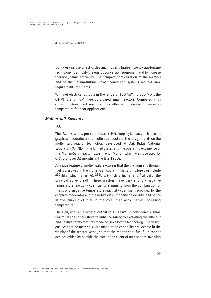Both designs use direct cycles and modern, high-efficiency gas-turbine technology to simplify the energy conversion equipment and to increase thermodynamic efficiency. The compact configuration of the reactors and of the helium-turbine power conversion systems reduces area requirements for plants.

With net electrical outputs in the range of 100  $MW_{e}$  to 300  $MW_{e}$ , the GT-MHR and PBMR are considered small reactors. Compared with current water-cooled reactors, they offer a substantial increase in temperature for heat applications.

#### *Molten-Salt Reactors*

#### FUJI

The FUJI is a low-pressure vessel (LPV)/loop-style reactor. It uses a graphite moderator and a molten-salt coolant. The design builds on the molten-salt reactor technology developed at Oak Ridge National Laboratory (ORNL) in the United States and the operating experience of the Molten-Salt Reactor Experiment (MSRE), which was operated by ORNL for over 32 months in the late 1960s.

A unique feature of molten-salt reactors is that the uranium and thorium fuel is dissolved in the molten-salt coolant. The salt mixture can include <sup>232</sup>ThF<sub>4</sub> (which is fertile), <sup>233</sup>UF<sub>4</sub> (which is fissile) and <sup>7</sup>LiF-BeF<sub>2</sub> (the principal solvent salt). These reactors have very strongly negative temperature-reactivity coefficients, stemming from the combination of the strong negative temperature-reactivity coefficient provided by the graphite moderator and the reduction in molten-salt density, and hence in the amount of fuel in the core, that accompanies increasing temperature.

The FUJI, with an electrical output of 100 MW<sub>e</sub>, is considered a small reactor. Its designers strive to enhance safety by exploiting the inherent and passive safety features made possible by the technology. The design ensures that no materials with moderating capability are located in the vicinity of the reactor vessel, so that the molten-salt/fuel fluid cannot achieve criticality outside the core in the event of an accident involving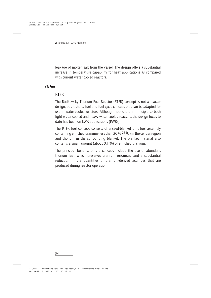leakage of molten salt from the vessel. The design offers a substantial increase in temperature capability for heat applications as compared with current water-cooled reactors.

#### *Other*

#### RTFR

The Radkowsky Thorium Fuel Reactor (RTFR) concept is not a reactor design, but rather a fuel and fuel-cycle concept that can be adapted for use in water-cooled reactors. Although applicable in principle to both light-water-cooled and heavy-water-cooled reactors, the design focus to date has been on LWR applications (PWRs).

The RTFR fuel concept consists of a seed-blanket unit fuel assembly containing enriched uranium (less than 20 %  $^{235}$ U) in the central region and thorium in the surrounding blanket. The blanket material also contains a small amount (about 0.1 %) of enriched uranium.

The principal benefits of the concept include the use of abundant thorium fuel, which preserves uranium resources, and a substantial reduction in the quantities of uranium-derived actinides that are produced during reactor operation.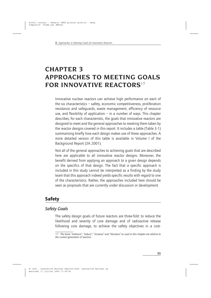# **CHAPTER 3 APPROACHES TO MEETING GOALS FOR INNOVATIVE REACTORS**<sup>17</sup>

Innovative nuclear reactors can achieve high performance on each of the six characteristics – safety, economic competitiveness, proliferation resistance and safeguards, waste management, efficiency of resource use, and flexibility of application  $-$  in a number of ways. This chapter describes, for each characteristic, the goals that innovative reactors are designed to meet and the general approaches to meeting them taken by the reactor designs covered in this report. It includes a table (Table 3-1) summarising briefly how each design makes use of these approaches. A more detailed version of this table is available in Volume I of the Background Report (3A 2001).

Not all of the general approaches to achieving goals that are described here are applicable to all innovative reactor designs. Moreover, the benefit derived from applying an approach to a given design depends on the specifics of that design. The fact that a specific approach is included in this study cannot be interpreted as a finding by the study team that this approach indeed yields specific results with regard to one of the characteristics. Rather, the approaches included here should be seen as proposals that are currently under discussion or development.

## **Safety**

#### *Safety Goals*

The safety design goals of future reactors are three-fold: to reduce the likelihood and severity of core damage and of radioactive release following core damage, to achieve the safety objectives in a cost-

*<sup>17.</sup> The terms "enhance", "reduce", "increase" and "decrease" as used in this chapter are relative to the current generation of reactors.*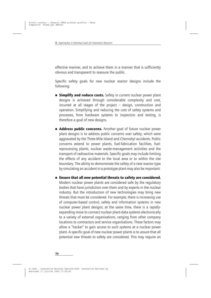effective manner, and to achieve them in a manner that is sufficiently obvious and transparent to reassure the public.

Specific safety goals for new nuclear reactor designs include the following:

- **Simplify and reduce costs.** Safety in current nuclear power plant designs is achieved through considerable complexity and cost, incurred at all stages of the project – design, construction and operation. Simplifying and reducing the cost of safety systems and processes, from hardware systems to inspection and testing, is therefore a goal of new designs.
- **Address public concerns.** Another goal of future nuclear power plant designs is to address public concerns over safety, which were aggravated by the Three-Mile Island and Chernobyl accidents. Public concerns extend to power plants, fuel-fabrication facilities, fuelreprocessing plants, nuclear waste-management activities and the transport of radioactive materials. Specific goals may include limiting the effects of any accident to the local area or to within the site boundary. The ability to demonstrate the safety of a new reactor type by simulating an accident in a prototype plant may also be important.
- Ensure that all *new* potential threats to safety are considered. Modern nuclear power plants are considered safe by the regulatory bodies that have jurisdiction over them and by experts in the nuclear industry. But the introduction of new technologies may bring new threats that must be considered. For example, there is increasing use of computer-based control, safety and information systems in new nuclear power plant designs; at the same time, there is a rapidlyexpanding move to connect nuclear plant-data systems electronically to a variety of external organisations, ranging from other company locations to contractors and service organisations. These factors may allow a "hacker" to gain access to such systems at a nuclear power plant. A specific goal of new nuclear power plants is to assure that all potential *new* threats to safety are considered. This may require an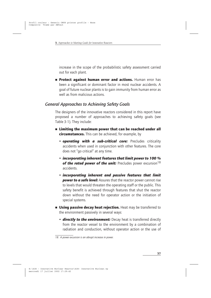increase in the scope of the probabilistic safety assessment carried out for each plant.

**Protect against human error and actions.** Human error has been a significant or dominant factor in most nuclear accidents. A goal of future nuclear plants is to gain immunity from human error as well as from malicious actions.

## *General Approaches to Achieving Safety Goals*

The designers of the innovative reactors considered in this report have proposed a number of approaches to achieving safety goals (see Table 3-1). They include:

- Limiting the maximum power that can be reached under all circumstances. This can be achieved, for example, by
	- *operating with a sub-critical core:* Precludes criticality accidents when used in conjunction with other features. The core does not "go critical" at any time.
	- *incorporating inherent features that limit power to 100 %* of the rated power of the unit: Precludes power excursion<sup>18</sup> accidents.
	- *incorporating inherent and passive features that limit* **power to a safe level:** Assures that the reactor power cannot rise to levels that would threaten the operating staff or the public. This safety benefit is achieved through features that shut the reactor down without the need for operator action or the initiation of special systems.
- **Using passive decay heat rejection.** Heat may be transferred to the environment passively in several ways:
	- *directly to the environment:* Decay heat is transferred directly from the reactor vessel to the environment by a combination of radiation and conduction, without operator action or the use of

*<sup>18.</sup> A power excursion is an abrupt increase in power.*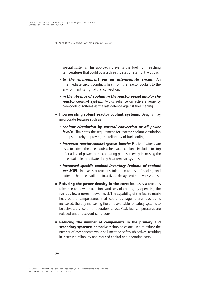special systems. This approach prevents the fuel from reaching temperatures that could pose a threat to station staff or the public.

- *to the environment via an intermediate circuit:* An intermediate circuit conducts heat from the reactor coolant to the environment using natural convection.
- *in the absence of coolant in the reactor vessel and/or the* **reactor coolant system:** Avoids reliance on active emergency core-cooling systems as the last defence against fuel melting.
- **Incorporating robust reactor coolant systems.** Designs may incorporate features such as
	- *coolant circulation by natural convection at all power levels:* Eliminates the requirement for reactor coolant circulation pumps, thereby improving the reliability of fuel cooling.
	- *increased reactor-coolant system inertia:* Passive features are used to extend the time required for reactor coolant circulation to stop after a loss of power to the circulating pumps, thereby increasing the time available to activate decay heat removal systems.
	- *increased specific coolant inventory (volume of coolant* **per MW):** Increases a reactor's tolerance to loss of cooling and extends the time available to activate decay heat removal systems.
- **Example 1 Reducing the power density in the core:** Increases a reactor's tolerance to power excursions and loss of cooling by operating the fuel at a lower normal power level. The capability of the fuel to retain heat before temperatures that could damage it are reached is increased, thereby increasing the time available for safety systems to be activated and/or for operators to act. Peak fuel temperatures are reduced under accident conditions.
- **Example 1** Reducing the number of components in the primary and secondary systems: Innovative technologies are used to reduce the number of components while still meeting safety objectives, resulting in increased reliability and reduced capital and operating costs.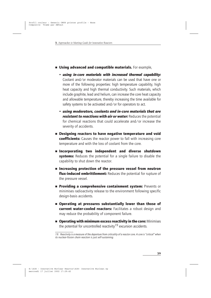- **E** Using advanced and compatible materials. For example,
	- *using in-core materials with increased thermal capability:* Coolant and/or moderator materials can be used that have one or more of the following properties: high temperature capability, high heat capacity and high thermal conductivity. Such materials, which include graphite, lead and helium, can increase the core heat capacity and allowable temperature, thereby increasing the time available for safety systems to be activated and/or for operators to act.
	- *using moderators, coolants and in-core materials that are resistant to reactions with air or water:* Reduces the potential for chemical reactions that could accelerate and/or increase the severity of accidents.
- **EXECTE Designing reactors to have negative temperature and void** coefficients: Causes the reactor power to fall with increasing core temperature and with the loss of coolant from the core.
- **E** Incorporating two independent and diverse shutdown **systems:** Reduces the potential for a single failure to disable the capability to shut down the reactor.
- Increasing protection of the pressure vessel from neutron flux-induced embrittlement: Reduces the potential for rupture of the pressure vessel.
- **Providing a comprehensive containment system:** Prevents or minimises radioactivity release to the environment following specific design-basis accidents.
- Operating at pressures substantially lower than those of current water-cooled reactors: Facilitates a robust design and may reduce the probability of component failure.
- $\blacksquare$  **Operating with minimum excess reactivity in the core: Minimises** the potential for uncontrolled reactivity<sup>19</sup> excursion accidents.

*<sup>19.</sup> Reactivity is a measure of the departure from criticality of a reactor core. A core is "critical" when its nuclear-fission chain reaction is just self-sustaining.*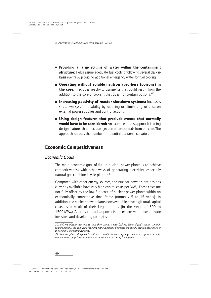- Providing a large volume of water within the containment structure: Helps assure adequate fuel cooling following several designbasis events by providing additional emergency water for fuel cooling.
- Operating without soluble neutron absorbers (poisons) in the core: Precludes reactivity transients that could result from the addition to the core of coolant that does not contain poisons.<sup>20</sup>
- **Increasing passivity of reactor shutdown systems:** Increases shutdown system reliability by reducing or eliminating reliance on external power supplies and control actions.
- Using design features that preclude events that normally **would have to be considered:** An example of this approach is using design features that preclude ejection of control rods from the core. The approach reduces the number of potential accident scenarios.

## Economic Competitiveness

#### *Economic Goals*

The main economic goal of future nuclear power plants is to achieve competitiveness with other ways of generating electricity, especially natural-gas combined-cycle plants.21

Compared with other energy sources, the nuclear power plant designs currently available have very high capital costs per MWe. These costs are not fully offset by the low fuel cost of nuclear power plants within an economically competitive time frame (normally 5 to 15 years). In addition, the nuclear power plants now available have high total capital costs as a result of their large outputs (in the range of 600 to 1500 MWe). As a result, nuclear power is too expensive for most private investors and developing countries.

*<sup>20.</sup> Poisons absorb neutrons so that they cannot cause fissions. When liquid coolant contains soluble poisons, the addition of coolant without poisons decreases the overall neutron absorption of the coolant, increasing reactivity.*

*<sup>21.</sup> Nuclear plants designed to sell heat, potable water or hydrogen as well as power must be economically competitive with other means of manufacturing these products.*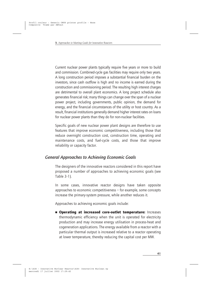Current nuclear power plants typically require five years or more to build and commission. Combined-cycle gas facilities may require only two years. A long construction period imposes a substantial financial burden on the investors, since cash outflow is high and no income is earned during the construction and commissioning period. The resulting high interest charges are detrimental to overall plant economics. A long project schedule also generates financial risk; many things can change over the span of a nuclear power project, including governments, public opinion, the demand for energy, and the financial circumstances of the utility or host country. As a result, financial institutions generally demand higher interest rates on loans for nuclear power plants than they do for non-nuclear facilities.

Specific goals of new nuclear power plant designs are therefore to use features that improve economic competitiveness, including those that reduce overnight construction cost, construction time, operating and maintenance costs, and fuel-cycle costs, and those that improve reliability or capacity factor.

#### *General Approaches to Achieving Economic Goals*

The designers of the innovative reactors considered in this report have proposed a number of approaches to achieving economic goals (see Table 3-1).

In some cases, innovative reactor designs have taken opposite approaches to economic competitiveness – for example, some concepts increase the primary-system pressure, while another reduces it.

Approaches to achieving economic goals include:

**Derating at increased core-outlet temperature:** Increases thermodynamic efficiency when the unit is operated for electricity production and may increase energy utilisation in process-heat and cogeneration applications. The energy available from a reactor with a particular thermal output is increased relative to a reactor operating at lower temperature, thereby reducing the capital cost per MW.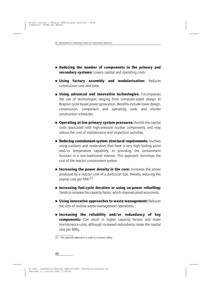- $\blacksquare$  Reducing the number of components in the primary and secondary systems: Lowers capital and operating costs.
- **E** Using factory assembly and modularisation: Reduces construction cost and time.
- **Example 2 Using advanced and innovative technologies:** Encompasses the use of technologies ranging from computer-aided design to Brayton cycle-based power generation. Benefits include lower design, construction, component and operating costs and shorter construction schedules.
- **Derating at low primary-system pressures:** Avoids the capital costs associated with high-pressure nuclear components, and may reduce the cost of maintenance and inspection activities.
- **Reducing containment-system structural requirements:** Involves using coolants and moderators that have a very high boiling point and/or temperature capability, or providing the containment function in a non-traditional manner. This approach minimises the cost of the reactor containment system.
- **Increasing the power density in the core:** Increases the power produced by a reactor core of a particular size, thereby reducing the capital cost per MW.<sup>22</sup>
- **Increasing fuel-cycle duration or using on-power refuelling:** Tends to increase the capacity factor, which improves plant economics.
- **E** Using innovative approaches to waste management: Reduces the cost of routine waste-management operations.
- $\blacksquare$  Increasing the reliability and/or redundancy of key **components:** Can result in higher capacity factors and lower maintenance costs, although increased redundancy raises the capital cost per MW<sub>e</sub>.

*<sup>22.</sup> The opposite approach is used to increase safety.*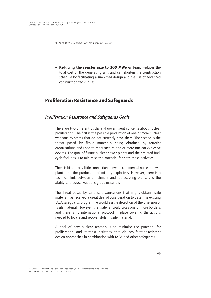**Reducing the reactor size to 300 MWe or less:** Reduces the total cost of the generating unit and can shorten the construction schedule by facilitating a simplified design and the use of advanced construction techniques.

# Proliferation Resistance and Safeguards

#### *Proliferation Resistance and Safeguards Goals*

There are two different public and government concerns about nuclear proliferation. The first is the possible production of one or more nuclear weapons by states that do not currently have them. The second is the threat posed by fissile material's being obtained by terrorist organisations and used to manufacture one or more nuclear explosive devices. The goal of future nuclear power plants and their related fuelcycle facilities is to minimise the potential for both these activities.

There is historically little connection between commercial nuclear power plants and the production of military explosives. However, there is a technical link between enrichment and reprocessing plants and the ability to produce weapons-grade materials.

The threat posed by terrorist organisations that might obtain fissile material has received a great deal of consideration to date. The existing IAEA safeguards programme would assure detection of the diversion of fissile material. However, the material could cross one or more borders, and there is no international protocol in place covering the actions needed to locate and recover stolen fissile material.

A goal of new nuclear reactors is to minimise the potential for proliferation and terrorist activities through proliferation-resistant design approaches in combination with IAEA and other safeguards.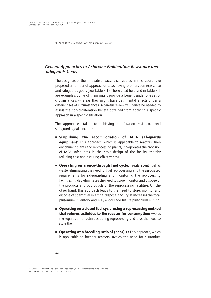#### *General Approaches to Achieving Proliferation Resistance and Safeguards Goals*

The designers of the innovative reactors considered in this report have proposed a number of approaches to achieving proliferation resistance and safeguards goals (see Table 3-1). Those cited here and in Table 3-1 are examples. Some of them might provide a benefit under one set of circumstances, whereas they might have detrimental effects under a different set of circumstances. A careful review will hence be needed to assess the non-proliferation benefit obtained from applying a specific approach in a specific situation.

The approaches taken to achieving proliferation resistance and safeguards goals include:

- Simplifying the accommodation of IAEA safeguards **equipment:** This approach, which is applicable to reactors, fuelenrichment plants and reprocessing plants, incorporates the provision of IAEA safeguards in the basic design of the facility, thereby reducing cost and assuring effectiveness.
- **Derating on a once-through fuel cycle:** Treats spent fuel as waste, eliminating the need for fuel reprocessing and the associated requirements for safeguarding and monitoring the reprocessing facilities. It also eliminates the need to store, monitor and dispose of the products and byproducts of the reprocessing facilities. On the other hand, this approach leads to the need to store, monitor and dispose of spent fuel in a final disposal facility. It increases the total plutonium inventory and may encourage future plutonium mining.
- Operating on a closed fuel cycle, using a reprocessing method that returns actinides to the reactor for consumption: Avoids the separation of actinides during reprocessing and thus the need to store them.
- **Derating at a breeding ratio of (near) 1:** This approach, which is applicable to breeder reactors, avoids the need for a uranium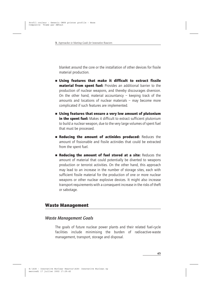blanket around the core or the installation of other devices for fissile material production.

- Using features that make it difficult to extract fissile material from spent fuel: Provides an additional barrier to the production of nuclear weapons, and thereby discourages diversion. On the other hand, material accountancy  $-$  keeping track of the amounts and locations of nuclear materials – may become more complicated if such features are implemented.
- Using features that ensure a very low amount of plutonium in the spent fuel: Makes it difficult to extract sufficient plutonium to build a nuclear weapon, due to the very large volumes of spent fuel that must be processed.
- **Reducing the amount of actinides produced:** Reduces the amount of fissionable and fissile actinides that could be extracted from the spent fuel.
- **Example 2 Reducing the amount of fuel stored at a site:** Reduces the amount of material that could potentially be diverted to weapons production or terrorist activities. On the other hand, this approach may lead to an increase in the number of storage sites, each with sufficient fissile material for the production of one or more nuclear weapons or other nuclear explosive devices. It might also increase transport requirements with a consequent increase in the risks of theft or sabotage.

# Waste Management

#### *Waste Management Goals*

The goals of future nuclear power plants and their related fuel-cycle facilities include minimising the burden of radioactive-waste management, transport, storage and disposal.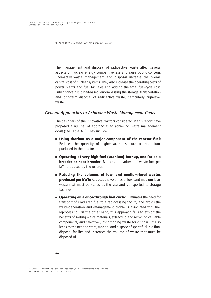The management and disposal of radioactive waste affect several aspects of nuclear energy competitiveness and raise public concern. Radioactive-waste management and disposal increase the overall capital cost of nuclear systems. They also increase the operating costs of power plants and fuel facilities and add to the total fuel-cycle cost. Public concern is broad-based, encompassing the storage, transportation and long-term disposal of radioactive waste, particularly high-level waste.

#### *General Approaches to Achieving Waste Management Goals*

The designers of the innovative reactors considered in this report have proposed a number of approaches to achieving waste management goals (see Table 3-1). They include:

- Using thorium as a major component of the reactor fuel: Reduces the quantity of higher actinides, such as plutonium, produced in the reactor.
- Operating at very high fuel (uranium) burnup, and/or as a **breeder or near-breeder:** Reduces the volume of waste fuel per kWh produced by the reactor.
- Reducing the volumes of low- and medium-level wastes **produced per kWh:** Reduces the volumes of low- and medium-level waste that must be stored at the site and transported to storage facilities.
- **Derating on a once-through fuel cycle:** Eliminates the need for transport of irradiated fuel to a reprocessing facility and avoids the waste-generation and -management problems associated with fuel reprocessing. On the other hand, this approach fails to exploit the benefits of sorting waste materials, extracting and recycling valuable components, and selectively conditioning waste for disposal. It also leads to the need to store, monitor and dispose of spent fuel in a final disposal facility and increases the volume of waste that must be disposed of.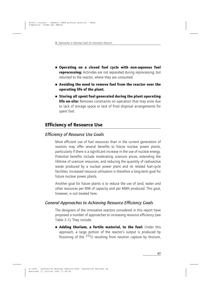- Operating on a closed fuel cycle with non-aqueous fuel **reprocessing:** Actinides are not separated during reprocessing, but returned to the reactor, where they are consumed.
- Avoiding the need to remove fuel from the reactor over the operating life of the plant.
- Storing all spent fuel generated during the plant operating **life on-site:** Removes constraints on operation that may arise due to lack of storage space or lack of final disposal arrangements for spent fuel.

# Efficiency of Resource Use

# *Efficiency of Resource Use Goals*

More efficient use of fuel resources than in the current generation of reactors may offer several benefits to future nuclear power plants, particularly if there is a significant increase in the use of nuclear energy. Potential benefits include moderating uranium prices, extending the lifetime of uranium resources, and reducing the quantity of radioactive waste produced by a nuclear power plant and its related fuel-cycle facilities. Increased resource utilisation is therefore a long-term goal for future nuclear power plants.

Another goal for future plants is to reduce the use of land, water and other resources per MW of capacity and per MWh produced. This goal, however, is not treated here.

# *General Approaches to Achieving Resource Efficiency Goals*

The designers of the innovative reactors considered in this report have proposed a number of approaches to increasing resource efficiency (see Table 3-1). They include:

**Adding thorium, a fertile material, to the fuel:** Under this approach, a large portion of the reactor's output is produced by fissioning of the  $^{233}$ U resulting from neutron capture by thorium,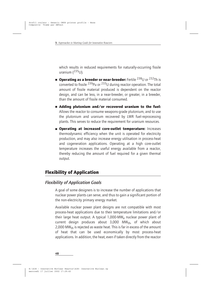which results in reduced requirements for naturally-occurring fissile uranium  $(^{235}$ U).

- **Derating as a breeder or near-breeder:** Fertile <sup>238</sup>U or  $^{232}$ Th is converted to fissile  $^{239}$ Pu or  $^{233}$ U during reactor operation. The total amount of fissile material produced is dependent on the reactor design, and can be less, in a near-breeder, or greater, in a breeder, than the amount of fissile material consumed.
- Adding plutonium and/or recovered uranium to the fuel: Allows the reactor to consume weapons-grade plutonium, and to use the plutonium and uranium recovered by LWR fuel-reprocessing plants. This serves to reduce the requirement for uranium resources.
- $\blacksquare$  **Operating at increased core-outlet temperature:** Increases thermodynamic efficiency when the unit is operated for electricity production, and may also increase energy utilisation in process-heat and cogeneration applications. Operating at a high core-outlet temperature increases the useful energy available from a reactor, thereby reducing the amount of fuel required for a given thermal output.

# Flexibility of Application

# *Flexibility of Application Goals*

A goal of some designers is to increase the number of applications that nuclear power plants can serve, and thus to gain a significant portion of the non-electricity primary energy market.

Available nuclear power plant designs are not compatible with most process-heat applications due to their temperature limitations and/or their large heat output. A typical  $1,000$ -MW<sub>e</sub> nuclear power plant of current design produces about  $3,000$  MW<sub>th</sub>, of which about 2,000 MW<sub>th</sub> is rejected as waste heat. This is far in excess of the amount of heat that can be used economically by most process-heat applications. In addition, the heat, even if taken directly from the reactor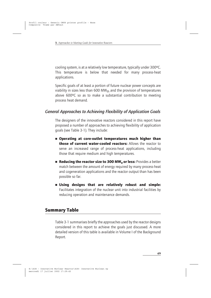cooling system, is at a relatively low temperature, typically under 300 °C. This temperature is below that needed for many process-heat applications.

Specific goals of at least a portion of future nuclear power concepts are viability in sizes less than 600 MW $_{\text{th}}$  and the provision of temperatures above  $600^{\circ}$ C so as to make a substantial contribution to meeting process heat demand.

#### *General Approaches to Achieving Flexibility of Application Goals*

The designers of the innovative reactors considered in this report have proposed a number of approaches to achieving flexibility of application goals (see Table 3-1). They include:

- Operating at core-outlet temperatures much higher than those of current water-cooled reactors: Allows the reactor to serve an increased range of process-heat applications, including those that require medium and high temperatures.
- Reducing the reactor size to 300 MW<sub>e</sub> or less: Provides a better match between the amount of energy required by many process-heat and cogeneration applications and the reactor output than has been possible so far.
- Using designs that are relatively robust and simple: Facilitates integration of the nuclear unit into industrial facilities by reducing operation and maintenance demands.

# Summary Table

Table 3-1 summarises briefly the approaches used by the reactor designs considered in this report to achieve the goals just discussed. A more detailed version of this table is available in Volume I of the Background Report.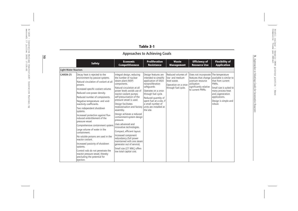| п<br>- 7<br>н<br><br><br>u |  |
|----------------------------|--|
|----------------------------|--|

# Approaches to Achieving Goals

|                             | <b>Safety</b>                                                                                                                                                                                                                                                                                                                                                                                                                                                                                                                                                                                                                                                                                                                                   | <b>Economic</b><br><b>Competitiveness</b>                                                                                                                                                                                                                                                                                                                                                                                                                                                                                                                                                                                         | <b>Proliferation</b><br><b>Resistance</b>                                                                                                                                                                                                                          | <b>Waste</b><br><b>Management</b>                                                                     | <b>Efficiency of</b><br><b>Resource Use</b>                                                                                                   | <b>Flexibility of</b><br><b>Application</b>                                                                                                                                   |
|-----------------------------|-------------------------------------------------------------------------------------------------------------------------------------------------------------------------------------------------------------------------------------------------------------------------------------------------------------------------------------------------------------------------------------------------------------------------------------------------------------------------------------------------------------------------------------------------------------------------------------------------------------------------------------------------------------------------------------------------------------------------------------------------|-----------------------------------------------------------------------------------------------------------------------------------------------------------------------------------------------------------------------------------------------------------------------------------------------------------------------------------------------------------------------------------------------------------------------------------------------------------------------------------------------------------------------------------------------------------------------------------------------------------------------------------|--------------------------------------------------------------------------------------------------------------------------------------------------------------------------------------------------------------------------------------------------------------------|-------------------------------------------------------------------------------------------------------|-----------------------------------------------------------------------------------------------------------------------------------------------|-------------------------------------------------------------------------------------------------------------------------------------------------------------------------------|
| <b>Light-Water Reactors</b> |                                                                                                                                                                                                                                                                                                                                                                                                                                                                                                                                                                                                                                                                                                                                                 |                                                                                                                                                                                                                                                                                                                                                                                                                                                                                                                                                                                                                                   |                                                                                                                                                                                                                                                                    |                                                                                                       |                                                                                                                                               |                                                                                                                                                                               |
| CAREM-25                    | Decay heat is rejected to the<br>environment by passive systems.<br>Natural circulation of coolant at all<br>powers.<br>Increased specific coolant volume.<br>Reduced core-power density.<br>Reduced number of components.<br>Negative temperature- and void-<br>reactivity coefficients.<br>Two independent shutdown<br>systems.<br>Increased protection against flux-<br>induced embrittlement of the<br>pressure vessel.<br>Comprehensive containment system.<br>Large volume of water in the<br>containment.<br>No soluble poisons are used in the<br>reactor coolant.<br>Increased passivity of shutdown<br>systems.<br>Control rods do not penetrate the<br>reactor pressure vessel, thereby<br>precluding the potential for<br>ejection. | Integral design, reducing<br>the number of nuclear<br>steam plant (NSP)<br>components.<br>Natural circulation at all<br>power levels avoids use of<br>reactor coolant pumps;<br>self-pressurisation of the<br>pressure vessel is used.<br>Design facilitates<br>modularisation and factory<br>assembly.<br>Design achieves a reduced<br>containment-system design<br>pressure.<br>Uses advanced and<br>innovative technologies.<br>Compact, efficient layout.<br>Increased component<br>redundancy (full power<br>maintained with one steam<br>generator out of service).<br>Small size (27 MW) offers<br>low total capital cost. | Design features are<br>intended to simplify<br>application of IAEA<br>nonproliferation<br>safequards.<br>Operates on a once-<br>through fuel cycle.<br>Reduced quantity of<br>spent fuel at a site, if<br>a small number of<br>units are installed at<br>the site. | Reduced volumes of<br>low- and medium-<br>level waste.<br>Operation on a once-<br>through fuel cycle. | Does not incorporate The temperature<br>features that change<br>uranium resource<br>utilisation<br>significantly relative<br>to current PWRs. | available is similar to<br>that from current<br>PWRs.<br>Small size is suited to<br>many process-heat<br>and cogeneration<br>applications.<br>Design is simple and<br>robust. |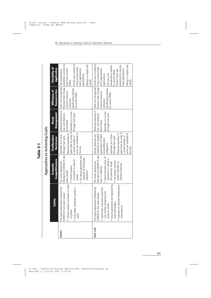| n  |
|----|
| a, |
| -  |
|    |
|    |
|    |

# Approaches to Achieving Goals Approaches to Achieving Goals

|                | Safety                                                                                                                                                                                                                                                                 | Competitiveness<br>Economic                                                                                                                                                                                 | Proliferation<br>Resistance                                                                                                                                                                     | Management<br><b>Waste</b>                 | Resource Use<br>Efficiency of                                                                                                                                                                                                          | Flexibility of<br>Application                                                                                                                                                                         |
|----------------|------------------------------------------------------------------------------------------------------------------------------------------------------------------------------------------------------------------------------------------------------------------------|-------------------------------------------------------------------------------------------------------------------------------------------------------------------------------------------------------------|-------------------------------------------------------------------------------------------------------------------------------------------------------------------------------------------------|--------------------------------------------|----------------------------------------------------------------------------------------------------------------------------------------------------------------------------------------------------------------------------------------|-------------------------------------------------------------------------------------------------------------------------------------------------------------------------------------------------------|
| SMART          | . Forced coolant circulation is used  used, except:<br>The same approaches followed by<br>• One safety shutdown system is<br>CAREM-25 are used, except:<br>at power.<br>used.                                                                                          | followed by CAREM-25 are  through fuel cycle.<br>All steam generators are the site.<br>required for full-power<br>circulation is used at<br>The same approaches<br>• Forced coolant<br>operation.<br>power. | spent fuel at a site, if Operates on a once-<br>a small number of lthrough fuel cycle.<br>Reduced quantity of level waste.<br>units are installed at                                            | low- and medium-                           | significantly relative Small size is suited to<br>features that change available is similar to<br>Operates on a once- Reduced volumes of  Does not incorporate  The temperature<br>uranium resource<br>to current PWRs.<br>utilisation | Design is simple and<br>many process-heat<br>and cogeneration<br>that from current<br>applications.<br>robust.<br>PWRs.                                                                               |
| <b>NHR-200</b> | • Steam generators are replaced by<br>· Operates at reduced temperature<br>The same approaches followed by<br>• Spent fuel is stored around the<br>core, further protecting the<br>CAREM-25 are used, except:<br>heat exchangers.<br>pressure vessel.<br>and pressure. | • Spent fuel (ten years of   nonproliferation<br>operation) is stored in<br>The same approaches<br>• The reactor coolant<br>the pressure vessel.<br>system operates at<br>reduced pressure.                 | spent fuel at a site, if<br>Design features are<br>units are installed at<br>Reduced quantity of<br>Operates on a once-<br>through fuel cycle.<br>a small number of<br>safeguards.<br>the site. | Operates on a once-<br>through fuel cycle. | Reduced volumes of   Does not incorporate   Small size is suited to<br>features that change   many process-heat<br>uranium resource<br>significantly relative<br>to current PWRs.<br>utilisation                                       | potential for process-<br>Design is simple and<br>temperature relative<br>heat applications.<br>and cogeneration<br>further limits the<br>to current PWRs<br>The low core<br>applications.<br>robust. |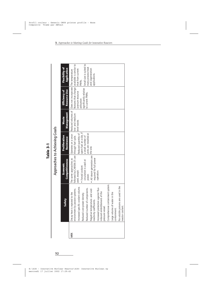| m      |
|--------|
|        |
| ω<br>- |
|        |
|        |
| d      |
|        |
|        |

| ١. |
|----|
|    |
| ı  |
|    |
|    |
|    |
|    |
|    |
|    |
|    |
|    |
| š  |
|    |
|    |
|    |
|    |
|    |
|    |
|    |
|    |
|    |
|    |
|    |
|    |
|    |
|    |
|    |

|            | Safety                                                                                                                                                                                                                                                                                                                                                                                                                                                                      | <b>Competitiveness</b><br>Economic                                                                                                                                                                                                                                                                                                                   | Proliferation<br>Resistance                                                                                 | Management<br><b>Waste</b> | Resource Use<br>Efficiency of                                                                       | Flexibility of<br>Application                                                                                                          |
|------------|-----------------------------------------------------------------------------------------------------------------------------------------------------------------------------------------------------------------------------------------------------------------------------------------------------------------------------------------------------------------------------------------------------------------------------------------------------------------------------|------------------------------------------------------------------------------------------------------------------------------------------------------------------------------------------------------------------------------------------------------------------------------------------------------------------------------------------------------|-------------------------------------------------------------------------------------------------------------|----------------------------|-----------------------------------------------------------------------------------------------------|----------------------------------------------------------------------------------------------------------------------------------------|
| <b>MRX</b> | Comprehensive containment system.<br>No soluble poisons are used in the<br>Increased specific coolant volume.<br>Increased protection against flux-<br>Reduced number of components.<br>environment by passive systems.<br>Negative temperature- and void-<br>nduced embrittlement of the<br>Decay heat is rejected to the<br>Reduced core-power density.<br>arge volume of water in the<br>reactivity coefficients.<br>pressure vessel.<br>reactor coolant<br>containment. | The same approaches as   Operates on a once-   Reduced volumes of   Does not incorporate   The temperature<br>followed by CAREM-25 are through fuel cycle.   low- and medium-<br>• All steam generators are l <sup>the site.</sup><br>required for full power<br>circulation is used at<br>• Forced coolant<br>used, except:<br>operation.<br>power. | Reduced quantity of level waste.<br>spent fuel at a site, if<br>units are installed at<br>a small number of |                            | features that change available is similar to<br>uranium resource<br>to current PWRs.<br>utilisation | significantly relative Small size is suited to<br>many process-heat<br>and cogeneration<br>that from current<br>applications.<br>PWRs. |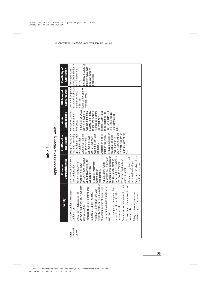| ١<br>ı<br>I<br>l |
|------------------|
|                  |
| ۹                |

|                             | Safety                                                                                                                                                                                                                                                                                                                                                                                                                                                                                                                                                                                                                                                                                | Competitiveness<br>Economic                                                                                                                                                                                                                                                                                                                                                                                                                                                                                                       | <b>Proliferation</b><br>Resistance                                                                                                                                                                                                                                                                                                                                                                                                                               | Management<br><b>Waste</b>                                                                                                                                                                                                                                        | Resource Use<br>Efficiency of                                                                                                                                                                                                                                                                  | <b>Flexibility of</b><br>Application                                                 |
|-----------------------------|---------------------------------------------------------------------------------------------------------------------------------------------------------------------------------------------------------------------------------------------------------------------------------------------------------------------------------------------------------------------------------------------------------------------------------------------------------------------------------------------------------------------------------------------------------------------------------------------------------------------------------------------------------------------------------------|-----------------------------------------------------------------------------------------------------------------------------------------------------------------------------------------------------------------------------------------------------------------------------------------------------------------------------------------------------------------------------------------------------------------------------------------------------------------------------------------------------------------------------------|------------------------------------------------------------------------------------------------------------------------------------------------------------------------------------------------------------------------------------------------------------------------------------------------------------------------------------------------------------------------------------------------------------------------------------------------------------------|-------------------------------------------------------------------------------------------------------------------------------------------------------------------------------------------------------------------------------------------------------------------|------------------------------------------------------------------------------------------------------------------------------------------------------------------------------------------------------------------------------------------------------------------------------------------------|--------------------------------------------------------------------------------------|
| Mounted<br>KLT-40<br>Barge- | Comprehensive containment system.   facility for overhaul and<br>reactivity coefficients; self-regulation   requirements.<br>of reactor power at all power levels.<br>environment by diverse, redundant<br>No soluble poisons are used in the<br>Increased specific coolant volume.<br>Negative temperature- and void-<br>Diverse and redundant shutdown<br>Increased protection against flux-<br>Jses a conventional PWR NSP<br>induced embrittlement of the<br>Decay heat is rejected to the<br>Safety shutdown systems are<br>Reduced core-power density.<br>activated by passive means.<br>passive systems.<br>pressure vessel.<br>reactor coolant.<br>contiguration.<br>systems. | operating cycle is stored in<br>power unit (FPU), which is<br>Uses a conventional PWR<br>Small size (35 MW) offers<br>Uses passive systems and<br>maximised by barge<br>delivery of two complete<br>generated over a 12-year<br>facilities on the floating<br>lunits, including all NSP<br>advanced technologies.<br>Reduced containment-<br>low total capital cost.<br>All radioactive waste<br>Factory fabrication is<br>returned to a central<br>NSP configuration.<br>support facilities.<br>waste disposal.<br>system design | Operates on a once- disposal. At the end<br>Reduced quantity of the FPU is delivered<br>through fuel cycle.   of its operating life,<br>years' accumulation),   Ing.<br>application of IAEA<br>units are used at the<br>f a small number of<br>Design features are<br>safeguards (but the<br>regarding theft and<br>spent fuel at a site<br>special challenges<br>concept may pose<br>(maximum of 12<br>nonproliferation<br>barge-mounted<br>sabotage).<br>site. | All radioactive waste utilisation<br>ntended to simplify  low- and medium-<br>ear operating cycle<br>on the FPU, which is<br>returned to a central<br>is stored in facilities<br>to a central facility<br>for decommission-<br>facility for waste<br>level waste. | generated over a $12$ - $\overline{\phantom{a}}$ significantly relative $\phantom{a}$ small size is suited to $\overline{\phantom{a}}$<br>features that change  available is similar to<br>Reduced volumes of   Does not incorporate   The temperature<br>uranium resource<br>to current PWRs. | many process-heat<br>and cogeneration<br>that from current<br>applications.<br>PWRs. |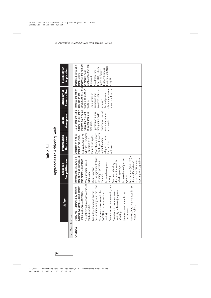| m |
|---|
| ω |
|   |
|   |
| σ |
| − |

| I        |  |
|----------|--|
| ı        |  |
| l<br>£.  |  |
| $\vdots$ |  |
| į<br>₹   |  |

|                      | Safety                                                                                                                                                                                                                                                                                                                                                                                                                                                                                                                                                                                                                          | Competitiveness<br>Economic                                                                                                                                                                                                                                                                                                                                                                                                                                                                                                                                                                          | <b>Proliferation</b><br>Resistance                                                                                                                                                                                                                    | Management<br><b>Waste</b>                                                                                                                                                                          | <b>Resource Use</b><br>Efficiency of                                                                                                                                                                   | Flexibility of<br>Application                                                                                                                                                                |
|----------------------|---------------------------------------------------------------------------------------------------------------------------------------------------------------------------------------------------------------------------------------------------------------------------------------------------------------------------------------------------------------------------------------------------------------------------------------------------------------------------------------------------------------------------------------------------------------------------------------------------------------------------------|------------------------------------------------------------------------------------------------------------------------------------------------------------------------------------------------------------------------------------------------------------------------------------------------------------------------------------------------------------------------------------------------------------------------------------------------------------------------------------------------------------------------------------------------------------------------------------------------------|-------------------------------------------------------------------------------------------------------------------------------------------------------------------------------------------------------------------------------------------------------|-----------------------------------------------------------------------------------------------------------------------------------------------------------------------------------------------------|--------------------------------------------------------------------------------------------------------------------------------------------------------------------------------------------------------|----------------------------------------------------------------------------------------------------------------------------------------------------------------------------------------------|
| Heavy-Water Reactors |                                                                                                                                                                                                                                                                                                                                                                                                                                                                                                                                                                                                                                 |                                                                                                                                                                                                                                                                                                                                                                                                                                                                                                                                                                                                      |                                                                                                                                                                                                                                                       |                                                                                                                                                                                                     |                                                                                                                                                                                                        |                                                                                                                                                                                              |
| CANDU X              | passive shutdown systems are used.   technologies and features,<br>A negative void-reactivity coefficient   Modularisation is used<br>Comprehensive containment system.   density.<br>systems, even if there is no coolant<br>No soluble poisons are used in the<br>Decay heat is removed by passive<br>Operates with minimum excess<br>reactivity in the core (on-power<br>No pressure vessel is used (the<br>in the reactor coolant system.<br>Two independent and diverse<br>Large volume of water in the<br>CANDU X is a pressure-tube<br>can be provided.<br>reactor coolant.<br>containment.<br>refuelling).<br>reactor). | Increased thermodynamic   Operates on a once-   Use of thorium fertile   Resource utilisation   Increased core-outlet<br>efficiency due to increased   through fuel cycle.     material and slightly-   depends on the<br>Smallest unit (350 MW <sub>a</sub> ) is<br>reducing total capital cost.<br>core-outlet temperature.<br>Increased use of passive<br>eliminates the need for<br>current CANDU plants,<br>including supercritical<br>about half the size of<br>Increased core-power<br>On-power refuelling<br>refuelling outages.<br>Uses innovative<br>extensively.<br>coolants.<br>systems. | (Note that on power Operates on a once-<br>refuelling introduces through fuel cycle.<br>Reduced amount of<br>refuelling introduces<br>thorium fuel cycle.<br>safeguards issues<br>if operated on a<br>nonproliferation<br>that must be<br>addressed.) | racinides is moduced feduce the amount thorium content of<br>if originals produced of higher actinides the fuel.<br>Reduced volumes of   Increased<br>low- and medium-<br>produced.<br>level waste. | enriched fuels would enrichment level and lincreases the number<br>recovered uranium.<br>efficiency increases<br>esource utilisation.<br>thermodynamic<br>Can operate on<br>plutonium and<br>the fuel. | applications that can<br>than current CANDU<br>(350 MW) is better<br>neat applications<br>suited to process-<br>Smallest version<br>of process-heat<br>temperature<br>be served.<br>designs. |
|                      |                                                                                                                                                                                                                                                                                                                                                                                                                                                                                                                                                                                                                                 |                                                                                                                                                                                                                                                                                                                                                                                                                                                                                                                                                                                                      |                                                                                                                                                                                                                                                       |                                                                                                                                                                                                     |                                                                                                                                                                                                        |                                                                                                                                                                                              |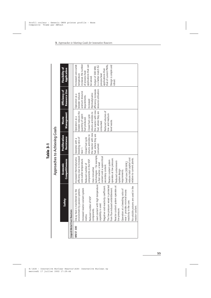| m |
|---|
| ω |
|   |
|   |
| ۵ |
|   |

| ţ           |
|-------------|
| ١<br>٠<br>ı |
| l<br>1      |

|                            | Safety                                                                                                                                                                                                                                                                                                                                                                                                                                                                                                                                                                                                                                                                                             | <b>Competitiveness</b><br>Economic                                                                                                                                                                                                                                                                                                                                                                                         | <b>Proliferation</b><br>Resistance                                                                 | Management<br><b>Waste</b>                                                                                                                                                                      | <b>Resource Use</b><br>Efficiency of                                                                                          | Flexibility of<br>Application                                                                                                                                                                                                                                       |
|----------------------------|----------------------------------------------------------------------------------------------------------------------------------------------------------------------------------------------------------------------------------------------------------------------------------------------------------------------------------------------------------------------------------------------------------------------------------------------------------------------------------------------------------------------------------------------------------------------------------------------------------------------------------------------------------------------------------------------------|----------------------------------------------------------------------------------------------------------------------------------------------------------------------------------------------------------------------------------------------------------------------------------------------------------------------------------------------------------------------------------------------------------------------------|----------------------------------------------------------------------------------------------------|-------------------------------------------------------------------------------------------------------------------------------------------------------------------------------------------------|-------------------------------------------------------------------------------------------------------------------------------|---------------------------------------------------------------------------------------------------------------------------------------------------------------------------------------------------------------------------------------------------------------------|
| Liquid-Metal Fast Reactors |                                                                                                                                                                                                                                                                                                                                                                                                                                                                                                                                                                                                                                                                                                    |                                                                                                                                                                                                                                                                                                                                                                                                                            |                                                                                                    |                                                                                                                                                                                                 |                                                                                                                               |                                                                                                                                                                                                                                                                     |
| <b>BREST 300</b>           | Lead coolant with high temperature   technologies – for example,   fuel, where they are   the reactor with new  efficiency increases<br>The low-pressure vessel is protected   Reactor coolant system<br>Reactor coolant system operates at   Reduced containment-<br>Negative void-reactivity coefficient.<br>No soluble poisons are used in the<br>from flux-induced embrittlement.<br>Increased reactor-coolant system<br>Operation at a breeding ratio of<br>environment by passive systems.<br>Decay heat is transferred to the<br>near 1 provides minimal excess<br>Reduced number of NSP<br>reactivity in the core.<br>capability is used.<br>reactor coolant.<br>low pressure.<br>inertia. | efficiency due to increased breeding ratio of<br>Increased thermodynamic   Operates with a<br>coolant and a supercritical<br>core-outlet temperature.<br>relative to current plants.<br>reduces total capital cost<br>operates at low pressure.<br>components in the NSP.<br>Small size (300 MW)<br>a fast reactor, a lead<br>Reduced number of<br>secondary coolant.<br>Uses innovative<br>system design<br>requirements. | the reactor with new  returns actinides to<br>returns actinides to<br>Closed fuel cycle<br>near 1. | fuel, where they are<br>breeder reduces the<br>Reduced volumes of<br>quantity of spent<br>Closed fuel cycle<br>low- and medium-<br>Operation as a<br>fuel produced.<br>evel waste.<br>consumed. | resource utilisation.<br>uranium resource<br>breeder reduces<br>thermodynamic<br>Operation as a<br>requirements.<br>Increased | increases the number<br>that of current PWRs.<br>ncreased core-outlet<br>applications that can<br>Design is simple and<br>is a better match for<br>Output of 300 MW<br>applications than<br>of process-heat<br>temperature<br>process-heat<br>be served.<br>robust. |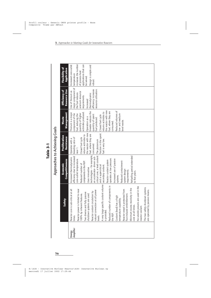| 1<br>ı<br>ı<br>3<br>ì<br>ı<br>j<br>٠ |  |
|--------------------------------------|--|
|                                      |  |
|                                      |  |
|                                      |  |
|                                      |  |
|                                      |  |

|                     | <b>Safety</b>                                                                                                                                                                                                                                                                                                                                                                                                                                                                                                                                                                                                                                                                                                | <b>Competitiveness</b><br>Economic                                                                                                                                                                                                                                                                                                                                                                                                                                                                                                        | Proliferation<br>Resistance                                                                                                                                                                 | Management<br><b>Waste</b>                                                                                                                                                                                                                                                                                            | Resource Use<br>Efficiency of                                                                                                                                                              | Flexibility of<br>Application                                                                                                              |
|---------------------|--------------------------------------------------------------------------------------------------------------------------------------------------------------------------------------------------------------------------------------------------------------------------------------------------------------------------------------------------------------------------------------------------------------------------------------------------------------------------------------------------------------------------------------------------------------------------------------------------------------------------------------------------------------------------------------------------------------|-------------------------------------------------------------------------------------------------------------------------------------------------------------------------------------------------------------------------------------------------------------------------------------------------------------------------------------------------------------------------------------------------------------------------------------------------------------------------------------------------------------------------------------------|---------------------------------------------------------------------------------------------------------------------------------------------------------------------------------------------|-----------------------------------------------------------------------------------------------------------------------------------------------------------------------------------------------------------------------------------------------------------------------------------------------------------------------|--------------------------------------------------------------------------------------------------------------------------------------------------------------------------------------------|--------------------------------------------------------------------------------------------------------------------------------------------|
| Amplifier<br>Energy | A very large specific coolant volume  secondary coolant.<br>Reduced number of components in<br>No soluble poisons are used in the<br>The two safety shutdown systems<br>Minimum excess reactivity in the<br>Reactor core is sub-critical at all<br>Reactor vessel is protected from<br>Reactor power is limited to near<br>are operated by passive means.<br>natural convection at all power<br>Reactor coolant circulation by<br>Two diverse and fully passive<br>shutdown systems are used.<br>00% by inherent features.<br>flux-induced embrittlement.<br>Coolant (lead) has a high<br>temperature capability.<br>core at all times.<br>reactor coolant.<br>is provided.<br>the NSP.<br>levels.<br>times. | technologies - for example, fuel, where they are<br>efficiency due to increased   breeding ratio of<br>critical core, a lead coolant The plutonium<br>Increased thermodynamic<br>an accelerator- driven sub-<br>Refuelling period extended<br>operates at low pressure.<br>core-outlet temperature.<br>Increased use of passive<br>Reactor coolant system<br>Reduced containment-<br>components in the NSP.<br>Reduced number of<br>and a supercritical<br>Uses innovative<br>system design<br>equirements.<br>to five years.<br>systems. | fraction in the spent Closed fuel cycle<br>the reactor with new Operation as a<br>returns actinides to<br>Closed fuel cycle<br>Operates with a<br>fuel is very low.<br>consumed.<br>near 1. | returns actinides to<br>the reactor with new<br>Reduced volumes of<br>breeder reduces the<br>uel, where they are<br>quantity of higher<br>actinides produced.<br>Thorium is a major<br>component of the<br>fuel, reducing the<br>low- and medium-<br>quantity of spent<br>fuel produced.<br>level waste.<br>consumed. | major component of temperature<br>efficiency increases<br>esource utilisation.<br>Use of thorium as<br>uranium resource<br>the fuel reduces<br>thermodynamic<br>requirements.<br>Increased | increases the number<br>applications that can<br>be served.<br>Increased core-outlet<br>Design is simple and<br>of process-heat<br>robust. |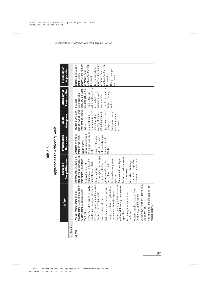| ٣<br>י |
|--------|
| q<br>J |
|        |
|        |
| ь      |
|        |

| l           |
|-------------|
| ١<br>٠<br>l |
| ٠           |

|                     | Safety                                                                                                                                                                                                                                                                                                                                                                                                                                                                                                                                                                                                                                                                                                                                                                                                      | Competitiveness<br>Economic                                                                                                                                                                                                                                                                                                                                                                                                                                                                                                                        | <b>Proliferation</b><br>Resistance                                                                                                                                               | Management<br><b>Waste</b>                                                                                                                                                                                                                                                                                                                                    | Resource Use<br><b>Efficiency of</b>                                                                                            | Flexibility of<br>Application                                                                                                                                                                                                                      |
|---------------------|-------------------------------------------------------------------------------------------------------------------------------------------------------------------------------------------------------------------------------------------------------------------------------------------------------------------------------------------------------------------------------------------------------------------------------------------------------------------------------------------------------------------------------------------------------------------------------------------------------------------------------------------------------------------------------------------------------------------------------------------------------------------------------------------------------------|----------------------------------------------------------------------------------------------------------------------------------------------------------------------------------------------------------------------------------------------------------------------------------------------------------------------------------------------------------------------------------------------------------------------------------------------------------------------------------------------------------------------------------------------------|----------------------------------------------------------------------------------------------------------------------------------------------------------------------------------|---------------------------------------------------------------------------------------------------------------------------------------------------------------------------------------------------------------------------------------------------------------------------------------------------------------------------------------------------------------|---------------------------------------------------------------------------------------------------------------------------------|----------------------------------------------------------------------------------------------------------------------------------------------------------------------------------------------------------------------------------------------------|
| <b>Gas Reactors</b> |                                                                                                                                                                                                                                                                                                                                                                                                                                                                                                                                                                                                                                                                                                                                                                                                             |                                                                                                                                                                                                                                                                                                                                                                                                                                                                                                                                                    |                                                                                                                                                                                  |                                                                                                                                                                                                                                                                                                                                                               |                                                                                                                                 |                                                                                                                                                                                                                                                    |
| <b>CT-MHR</b>       | elevated temperature is provided by efficiency due to increased   through fuel cycle.<br>Containment function is provided by<br>and fuel all have high temperature<br>the environment, even if there is no<br>Helium coolant, graphite moderator<br>Decay heat is transferred passively<br>Use of direct Brayton cycle reduces<br>from the pressure vessel directly to<br>No soluble poisons are used in the<br>Reduced number of components.<br>Pressure vessel is protected from<br>negative temperature-reactivity<br>the potential for water ingress.<br>coolant in the pressure vessel.<br>Inherent reactor shutdown at<br>Strong negative temperature<br>flux-induced embrittlement.<br>Low core-power density.<br>reactor coolant.<br>the TRISO fuel.<br>coefficient.<br>coefficient.<br>capability. | technologies - for example, actinides produced is a quantity of higher<br>Increased thermodynamic   Operates on a once-<br>Refuelling period extended<br>graphite moderator and a<br>Compact, efficient layout.<br>reduces total capital cost<br>relative to current plants.<br>core-outlet temperature.<br>Increased use of passive<br>components in the NSP<br>and balance-of-plant.<br>Small size (286 MW <sub>e</sub> )<br>Reduced number of<br>direct Brayton cycle.<br>a helium coolant, a<br>Uses innovative<br>to three years.<br>systems. | to remove from spent Can use thorium<br>diffuse and difficult<br>Amount of higher<br>substantially lower<br>Fissile material is<br>than for current<br>PWR <sub>S</sub><br>fuel. | fertile material in the fertile material in the be served.<br>Operates on a closed Use of plutonium in<br>times that of current efficiency increases<br>burnup (two to three thermodynamic<br>Provides a very high   Increased<br>Reduced volumes of<br>actinides produced.<br>low- and medium-<br>fuel; reduces the<br>fuel cycle.<br>level waste.<br>PWRs). | resource utilisation.<br>uranium resource<br>Can use thorium<br>the fuel is being<br>requirements.<br>fuel; reduces<br>studied. | increases the number<br>increases the number<br>Increased core-outlet<br>applications that can<br>applications that can<br>Low power output<br>Design is compact<br>of process-heat<br>of process-heat<br>temperature<br>and robust.<br>be served. |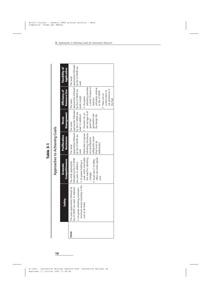| m                      |
|------------------------|
|                        |
| Φ                      |
|                        |
| d                      |
| <b>Service Service</b> |
|                        |

| t                       |   |
|-------------------------|---|
| ١<br>٠<br>ı<br>i        | ١ |
| ì<br>í<br>$\frac{1}{2}$ |   |
| ⋖                       |   |

|      | Safety                                                                                                                                                                                                                                  | <b>Competitiveness</b><br>Economic                                                                                                                            | Proliferation<br>Resistance                                                                                                                                                   | Management<br><b>Waste</b>                                                                                | Resource Use<br>Efficiency of                                                                                                                                                                                                                                                                                                                                                   | Flexibility of<br>Application |
|------|-----------------------------------------------------------------------------------------------------------------------------------------------------------------------------------------------------------------------------------------|---------------------------------------------------------------------------------------------------------------------------------------------------------------|-------------------------------------------------------------------------------------------------------------------------------------------------------------------------------|-----------------------------------------------------------------------------------------------------------|---------------------------------------------------------------------------------------------------------------------------------------------------------------------------------------------------------------------------------------------------------------------------------------------------------------------------------------------------------------------------------|-------------------------------|
| PBMR | the GT-MHR are used. In addition:   followed by the GT-MHR<br>minimum excess reactivity in the   • On-power fuelling is<br>The same approaches followed by The same approaches<br>• On-power refuelling maintains<br>core at all times. | used, which eliminates<br>the need for refuelling<br>offers low total capital<br>$\bullet$ Small size (110 MW)<br>are used. In addition:<br>outages.<br>cost. | (Note that on-power   • Provision for on-   • On-power<br>refuelling introduces<br>safequards issues<br>non-proliferation<br>that must be<br>addressed.)<br>The same<br>used. | used. In addition:<br>site storage of all<br>generated over<br>the design life.<br>spent fuel<br>The same | approaches followed   approaches followed   approaches followed   approaches followed<br>by the GT-MHR are   by the GT-MHR are   by the GT-MHR are   by the GT-MHR are<br>refuelling provides<br>a small increase in<br>utilisation relative<br>use plutonium in<br>current plans to<br>to the CT-MHR.<br>• There are no<br>lused, except:<br>resource<br>the fuel.<br>The same | The same<br>used.             |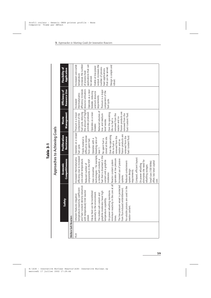| m |
|---|
| Φ |
|   |
|   |
| α |
| - |
|   |

| ١.<br>١<br>l |
|--------------|
|              |
| ٠            |

|                             | Safety                                                                                                                                                                                                                                                                                                                                                                                                                                                                                                                                                            | <b>Competitiveness</b><br>Economic                                                                                                                                                                                                                                                                                                                                                                                                                                                                                                                                                                                                                                                      | Proliferation<br>Resistance                                                                                                                                                                                                                                           | Management<br><b>Waste</b>                                                                                                                                                                                                                                                                                                                                                    | Resource Use<br>Efficiency of                                                                                                                                               | Flexibility of<br>Application                                                                                                                                                                                                                                             |
|-----------------------------|-------------------------------------------------------------------------------------------------------------------------------------------------------------------------------------------------------------------------------------------------------------------------------------------------------------------------------------------------------------------------------------------------------------------------------------------------------------------------------------------------------------------------------------------------------------------|-----------------------------------------------------------------------------------------------------------------------------------------------------------------------------------------------------------------------------------------------------------------------------------------------------------------------------------------------------------------------------------------------------------------------------------------------------------------------------------------------------------------------------------------------------------------------------------------------------------------------------------------------------------------------------------------|-----------------------------------------------------------------------------------------------------------------------------------------------------------------------------------------------------------------------------------------------------------------------|-------------------------------------------------------------------------------------------------------------------------------------------------------------------------------------------------------------------------------------------------------------------------------------------------------------------------------------------------------------------------------|-----------------------------------------------------------------------------------------------------------------------------------------------------------------------------|---------------------------------------------------------------------------------------------------------------------------------------------------------------------------------------------------------------------------------------------------------------------------|
| <b>Molten-Salt Reactors</b> |                                                                                                                                                                                                                                                                                                                                                                                                                                                                                                                                                                   |                                                                                                                                                                                                                                                                                                                                                                                                                                                                                                                                                                                                                                                                                         |                                                                                                                                                                                                                                                                       |                                                                                                                                                                                                                                                                                                                                                                               |                                                                                                                                                                             |                                                                                                                                                                                                                                                                           |
| 巨                           | minimum reactivity in the core at all Reactor coolant system<br>The low-pressure vessel is protected<br>and fuel/coolant density reduction<br>No soluble poisons are used in the<br>from flux-induced embrittlement.<br>temperature-reactivity coefficient<br>On-power refuelling maintains<br>with temperature) limit reactor<br>Decay heat can be transferred<br>graphite moderator have high<br>passively to the environment.<br>The molten-salt coolant and<br>Inherent features (negative<br>temperature capability.<br>reactor coolant.<br>power.<br>times. | Increased thermodynamic   Operates on a closed   Thorium is a major<br>technologies - for example, breeding ratio of<br>fuel that is dissolved in the  No spent fuel is<br>efficiency due to increased   fuel cycle.<br>Compact, efficient layout.<br>a molten-salt coolant, a<br>operates at low pressure<br>core-outlet temperature.<br>components in the NSP.<br>Increased use of passive<br>coolant and a graphite<br>eliminates the need for<br>Reduced containment-<br>offers low total capital<br>Small size (100 MWe)<br>Reduced number of<br>On-power refuelling<br>refuelling outages.<br>Uses innovative<br>system design<br>equirements.<br>moderator.<br>systems.<br>cost. | fission products are<br>Over the operating<br>difficult to remove<br>fuel/coolant fluid.<br>removed from the<br>removed from the<br>Fissile material is<br>stored at the site.<br>Operates with a<br>from spent fuel.<br>reactor and no<br>life no fuel is<br>near 1. | the amount of higher resource utilisation.<br>Reduced volumes of   requirements.<br>actinides produced.<br>fuel cycle, reducing<br>Operates as a near-<br>fission products are<br>Over the operating<br>low- and medium-<br>component of the<br>fuel/coolant fluid.<br>removed from the<br>removed from the<br>reactor and no<br>life no fuel is<br>level wastes.<br>breeder. | Operates as a near-<br>efficiency increases<br>Thorium is a major<br>component of the<br>uranium resource<br>breeder, reducing<br>thermodynamic<br>fuel cycle.<br>Increased | increases the number<br>Increased core-outlet<br>applications that can<br>output; increases the<br>Design is simple and<br>Viable at low power<br>number of process-<br>that can be served.<br>heat applications<br>of process-heat<br>temperature<br>be served.<br>obust |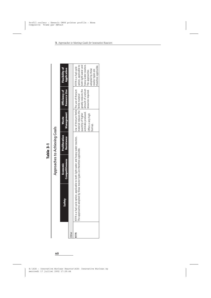| m  |
|----|
| ω  |
|    |
| ಕ  |
| Ļ. |
|    |

| ι                |
|------------------|
| ١.<br>٠<br>I     |
|                  |
|                  |
|                  |
| ı<br>ı<br>۹<br>ı |

|              | Safety                                                                                                                                                           | <b>Competitiveness</b><br>Economic | Proliferation<br>Resistance | Waste                                                                                                                                                                                                          | Efficiency of Flexibility of<br>Management Resource Use                                           | Application                                                                            |
|--------------|------------------------------------------------------------------------------------------------------------------------------------------------------------------|------------------------------------|-----------------------------|----------------------------------------------------------------------------------------------------------------------------------------------------------------------------------------------------------------|---------------------------------------------------------------------------------------------------|----------------------------------------------------------------------------------------|
| <b>Other</b> |                                                                                                                                                                  |                                    |                             |                                                                                                                                                                                                                |                                                                                                   |                                                                                        |
| <b>RTFR</b>  | RTFR is a fuel-cycle option, applicable to both light-water and heavy-water reactors.<br>The approaches adopted by these reactor types are therefore applicable. |                                    |                             | quantity of higher   greatly reduces the   both light-water and<br>Use of thorium fertile The use of thorium   RTFR is a fuel-cycle<br>naterial reduces the   fertile material<br>Offers a very high<br>oumup. | actinides produced. amount of uranium heavy-water reactors.<br>resources required. The approaches | option, applicable to<br>therefore applicable.<br>adopted by these<br>eactor types are |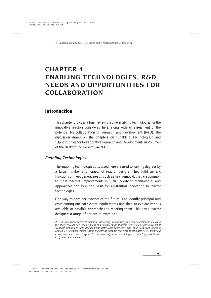# **CHAPTER 4 ENABLING TECHNOLOGIES, R&D NEEDS AND OPPORTUNITIES FOR COLLABORATION**

# Introduction

This chapter provides a brief review of some enabling technologies for the innovative reactors considered here, along with an assessment of the potential for collaboration on research and development (R&D). The discussion draws on the chapters on "Enabling Technologies" and "Opportunities for Collaborative Research and Development" in Volume I of the Background Report (3A 2001).

#### *Enabling Technologies*

The enabling technologies discussed here are used to varying degrees by a large number and variety of reactor designs. They fulfil generic functions or meet generic needs, such as heat removal, that are common to most reactors. Improvements in such underlying technologies and approaches can form the basis for substantial innovation in reactor technologies.

One way to consider reactors of the future is to identify principal and cross-cutting nuclear-system requirements and then to explore various available or possible approaches to meeting them. This gives reactor designers a range of options to examine.23

*<sup>23.</sup> This analytical approach has been satisfactory for reviewing the set of reactors considered in this study. It could be usefully applied to a broader range of designs and a more speculative set of scenarios for future industry developments. Researched approaches also would need to be subject to economic assessment whereby basic engineering data are converted to estimated costs, permitting researchers and reactor designers to ascertain early in the research process which approaches are likely to be uneconomic.*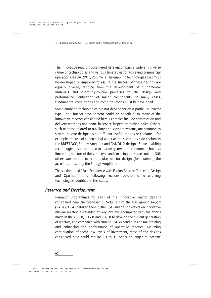The innovative reactors considered here encompass a wide and diverse range of technologies and various timetables for achieving commercial operation (see 3A 2001, Volume I). The enabling technologies that must be developed or improved to assure the success of these designs are equally diverse, ranging from the development of fundamental materials and chemistry-control processes to the design and performance verification of major components. In many cases, fundamental correlations and computer codes must be developed.

Some enabling technologies are not dependant on a particular reactor type. Their further development could be beneficial to many of the innovative reactors considered here. Examples include construction and delivery methods and some in-service inspection technologies. Others, such as those related to auxiliary and support systems, are common to several reactor designs using different configurations or coolants – for example, the use of supercritical water as the secondary-side coolant in the BREST 300, Energy Amplifier and CANDU X designs. Some enabling technologies, usually related to reactor systems, are common to, but also limited to, reactors of the same type and/or using the same coolant. Still others are unique to a particular reactor design (for example, the accelerator used by the Energy Amplifier).

The section titled "Past Experience with Fission Reactor Concepts, Design and Operation" and following sections describe some enabling technologies identified in this study.

#### *Research and Development*

Research programmes for each of the innovative reactor designs considered here are described in Volume I of the Background Report (3A 2001). As detailed therein, the R&D and design efforts on innovative nuclear reactors are funded at very low levels compared with the efforts made in the 1950s, 1960s and 1970s to develop the current generation of reactors, and compared with current R&D expenditures on maintaining and enhancing the performance of operating reactors. Assuming continuation of these low levels of investment, most of the designs considered here could require 10 to 15 years or longer to become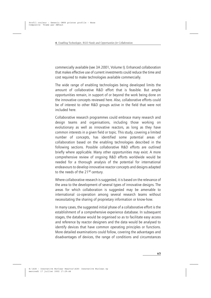commercially available (see 3A 2001, Volume I). Enhanced collaboration that makes effective use of current investments could reduce the time and cost required to make technologies available commercially.

The wide range of enabling technologies being developed limits the amount of collaborative R&D effort that is feasible. But ample opportunities remain, in support of or beyond the work being done on the innovative concepts reviewed here. Also, collaborative efforts could be of interest to other R&D groups active in the field that were not included here.

Collaborative research programmes could embrace many research and design teams and organisations, including those working on evolutionary as well as innovative reactors, as long as they have common interests in a given field or topic. This study, covering a limited number of concepts, has identified some potential areas of collaboration based on the enabling technologies described in the following sections. Possible collaborative R&D efforts are outlined briefly where applicable. Many other opportunities may exist. A more comprehensive review of ongoing R&D efforts worldwide would be needed for a thorough analysis of the potential for international endeavours to develop innovative reactor concepts and designs adapted to the needs of the 21st century.

Where collaborative research is suggested, it is based on the relevance of the area to the development of several types of innovative designs. The areas for which collaboration is suggested may be amenable to international co-operation among several research teams without necessitating the sharing of proprietary information or know-how.

In many cases, the suggested initial phase of a collaborative effort is the establishment of a comprehensive experience database. In subsequent stages, the database would be organised so as to facilitate easy access and reference by reactor designers and the data would be analysed to identify devices that have common operating principles or functions. More detailed examinations could follow, covering the advantages and disadvantages of devices, the range of conditions and circumstances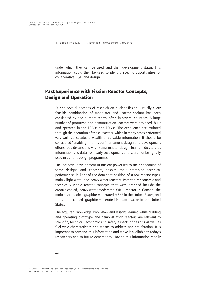under which they can be used, and their development status. This information could then be used to identify specific opportunities for collaborative R&D and design.

# Past Experience with Fission Reactor Concepts, Design and Operation

During several decades of research on nuclear fission, virtually every feasible combination of moderator and reactor coolant has been considered by one or more teams, often in several countries. A large number of prototype and demonstration reactors were designed, built and operated in the 1950s and 1960s. The experience accumulated through the operation of those reactors, which in many cases performed very well, constitutes a wealth of valuable information. It should be considered "enabling information" for current design and development efforts, but discussions with some reactor design teams indicate that information and data from early development efforts are not being fully used in current design programmes.

The industrial development of nuclear power led to the abandoning of some designs and concepts, despite their promising technical performance, in light of the dominant position of a few reactor types, mainly light-water and heavy-water reactors. Potentially economic and technically viable reactor concepts that were dropped include the organic-cooled, heavy-water-moderated WR-1 reactor in Canada; the molten-salt-cooled, graphite-moderated MSRE in the United States; and the sodium-cooled, graphite-moderated Hallam reactor in the United **States** 

The acquired knowledge, know-how and lessons learned while building and operating prototype and demonstration reactors are relevant to scientific, technical, economic and safety aspects of designs as well as fuel-cycle characteristics and means to address non-proliferation. It is important to conserve this information and make it available to today's researchers and to future generations. Having this information readily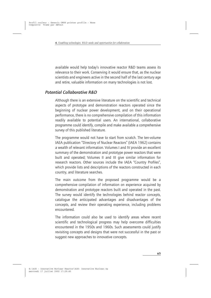available would help today's innovative reactor R&D teams assess its relevance to their work. Conserving it would ensure that, as the nuclear scientists and engineers active in the second half of the last century age and retire, valuable information on many technologies is not lost.

#### *Potential Collaborative R&D*

Although there is an extensive literature on the scientific and technical aspects of prototype and demonstration reactors operated since the beginning of nuclear power development, and on their operational performance, there is no comprehensive compilation of this information readily available to potential users. An international, collaborative programme could identify, compile and make available a comprehensive survey of this published literature.

The programme would not have to start from scratch. The ten-volume IAEA publication "Directory of Nuclear Reactors" (IAEA 1962) contains a wealth of relevant information. Volumes I and IV provide an excellent summary of the demonstration and prototype power reactors that were built and operated; Volumes II and III give similar information for research reactors. Other sources include the IAEA "Country Profiles", which provide lists and descriptions of the reactors constructed in each country, and literature searches.

The main outcome from the proposed programme would be a comprehensive compilation of information on experience acquired by demonstration and prototype reactors built and operated in the past. The survey would identify the technologies behind reactor concepts, catalogue the anticipated advantages and disadvantages of the concepts, and review their operating experience, including problems encountered.

The information could also be used to identify areas where recent scientific and technological progress may help overcome difficulties encountered in the 1950s and 1960s. Such assessments could justify revisiting concepts and designs that were not successful in the past or suggest new approaches to innovative concepts.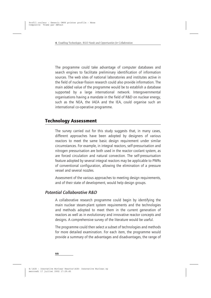The programme could take advantage of computer databases and search engines to facilitate preliminary identification of information sources. The web sites of national laboratories and institutes active in the field of nuclear-fission research could also provide information. The main added value of the programme would be to establish a database supported by a large international network. Intergovernmental organisations having a mandate in the field of R&D on nuclear energy, such as the NEA, the IAEA and the IEA, could organise such an international co-operative programme.

#### Technology Assessment

The survey carried out for this study suggests that, in many cases, different approaches have been adopted by designers of various reactors to meet the same basic design requirement under similar circumstances. For example, in integral reactors, self-pressurisation and nitrogen pressurisation are both used in the reactor coolant system, as are forced circulation and natural convection. The self-pressurisation feature adopted by several integral reactors may be applicable to PWRs of conventional configuration, allowing the elimination of a pressure vessel and several nozzles.

Assessment of the various approaches to meeting design requirements, and of their state of development, would help design groups.

#### *Potential Collaborative R&D*

A collaborative research programme could begin by identifying the main nuclear steam-plant system requirements and the technologies and methods adopted to meet them in the current generation of reactors as well as in evolutionary and innovative reactor concepts and designs. A comprehensive survey of the literature would be useful.

The programme could then select a subset of technologies and methods for more detailed examination. For each item, the programme would provide a summary of the advantages and disadvantages, the range of

**66**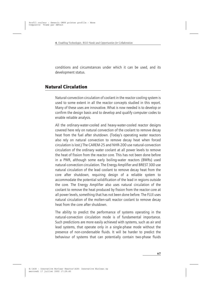conditions and circumstances under which it can be used, and its development status.

# Natural Circulation

Natural-convection circulation of coolant in the reactor cooling system is used to some extent in all the reactor concepts studied in this report. Many of these uses are innovative. What is now needed is to develop or confirm the design basis and to develop and qualify computer codes to enable reliable analysis.

All the ordinary-water-cooled and heavy-water-cooled reactor designs covered here rely on natural convection of the coolant to remove decay heat from the fuel after shutdown. (Today's operating water reactors also rely on natural convection to remove decay heat when forced circulation is lost.) The CAREM-25 and NHR-200 use natural-convection circulation of the ordinary water coolant at all power levels to remove the heat of fission from the reactor core. This has not been done before in a PWR, although some early boiling-water reactors (BWRs) used natural-convection circulation. The Energy Amplifier and BREST 300 use natural circulation of the lead coolant to remove decay heat from the core after shutdown, requiring design of a reliable system to accommodate the potential solidification of the lead in regions outside the core. The Energy Amplifier also uses natural circulation of the coolant to remove the heat produced by fission from the reactor core at all power levels, something that has not been done before. The FUJI uses natural circulation of the molten-salt reactor coolant to remove decay heat from the core after shutdown.

The ability to predict the performance of systems operating in the natural-convection circulation mode is of fundamental importance. Such predictions are more easily achieved with systems, such as air and lead systems, that operate only in a single-phase mode without the presence of non-condensable fluids. It will be harder to predict the behaviour of systems that can potentially contain two-phase fluids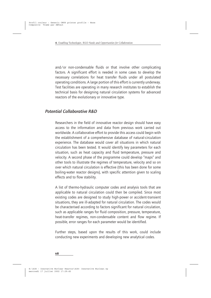and/or non-condensable fluids or that involve other complicating factors. A significant effort is needed in some cases to develop the necessary correlations for heat transfer fluids under all postulated operating conditions. A large portion of this effort is currently underway. Test facilities are operating in many research institutes to establish the technical basis for designing natural circulation systems for advanced reactors of the evolutionary or innovative type.

#### *Potential Collaborative R&D*

Researchers in the field of innovative reactor design should have easy access to the information and data from previous work carried out worldwide. A collaborative effort to provide this access could begin with the establishment of a comprehensive database of natural-circulation experience. The database would cover all situations in which natural circulation has been tested. It would identify key parameters for each situation, such as heat capacity and fluid temperature, pressure and velocity. A second phase of the programme could develop "maps" and other tools to illustrate the regimes of temperature, velocity and so on over which natural circulation is effective (this has been done for some boiling-water reactor designs), with specific attention given to scaling effects and to flow stability.

A list of thermo-hydraulic computer codes and analysis tools that are applicable to natural circulation could then be compiled. Since most existing codes are designed to study high-power or accident-transient situations, they are ill-adapted for natural circulation. The codes would be characterised according to factors significant for natural circulation, such as applicable ranges for fluid composition, pressure, temperature, heat-transfer regimes, non-condensable content and flow regime. If possible, error ranges for each parameter would be identified.

Further steps, based upon the results of this work, could include conducting new experiments and developing new analytical codes.

**68**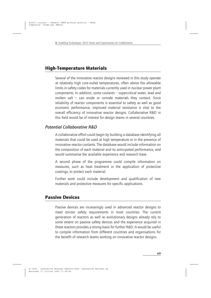# High-Temperature Materials

Several of the innovative reactor designs reviewed in this study operate at relatively high core-outlet temperatures, often above the allowable limits in safety codes for materials currently used in nuclear power plant components. In addition, some coolants – supercritical water, lead and molten salt – can erode or corrode materials they contact. Since reliability of reactor components is essential to safety as well as good economic performance, improved material resistance is vital to the overall efficiency of innovative reactor designs. Collaborative R&D in this field would be of interest for design teams in several countries.

#### *Potential Collaborative R&D*

A collaborative effort could begin by building a database identifying all materials that could be used at high temperature or in the presence of innovative reactor coolants. The database would include information on the composition of each material and its anticipated performance, and would summarise the available experience and research base.

A second phase of the programme could compile information on measures, such as heat treatment or the application of protective coatings, to protect each material.

Further work could include development and qualification of new materials and protective measures for specific applications.

# Passive Devices

Passive devices are increasingly used in advanced reactor designs to meet stricter safety requirements in most countries. The current generation of reactors as well as evolutionary designs already rely to some extent on passive safety devices and the experience acquired in these reactors provides a strong basis for further R&D. It would be useful to compile information from different countries and organisations for the benefit of research teams working on innovative reactor designs.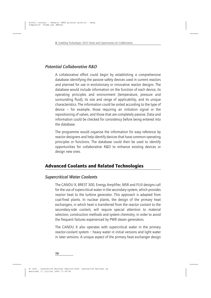#### *Potential Collaborative R&D*

A collaborative effort could begin by establishing a comprehensive database identifying the passive safety devices used in current reactors and planned for use in evolutionary or innovative reactor designs. The database would include information on the function of each device, its operating principles and environment (temperature, pressure and surrounding fluid), its size and range of applicability, and its unique characteristics. The information could be sorted according to the type of device – for example, those requiring an initiation signal or the repositioning of valves, and those that are completely passive. Data and information could be checked for consistency before being entered into the database.

The programme would organise the information for easy reference by reactor designers and help identify devices that have common operating principles or functions. The database could then be used to identify opportunities for collaborative R&D to enhance existing devices or design new ones.

#### Advanced Coolants and Related Technologies

#### *Supercritical Water Coolants*

The CANDU X, BREST 300, Energy Amplifier, MSR and FUJI designs call for the use of supercritical water in the secondary system, which provides reactor heat to the turbine generator. This approach is adapted from coal-fired plants. In nuclear plants, the design of the primary heat exchangers, in which heat is transferred from the reactor coolant to the secondary-side coolant, will require special attention to material selection, construction methods and system chemistry, in order to avoid the frequent failures experienced by PWR steam generators.

The CANDU X also operates with supercritical water in the primary reactor-coolant system – heavy water in initial versions and light water in later versions. A unique aspect of the primary heat exchanger design

**70**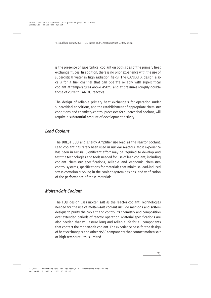is the presence of supercritical coolant on both sides of the primary heat exchanger tubes. In addition, there is no prior experience with the use of supercritical water in high radiation fields. The CANDU X design also calls for a fuel channel that can operate reliably with supercritical coolant at temperatures above 450°C and at pressures roughly double those of current CANDU reactors.

The design of reliable primary heat exchangers for operation under supercritical conditions, and the establishment of appropriate chemistry conditions and chemistry-control processes for supercritical coolant, will require a substantial amount of development activity.

#### *Lead Coolant*

The BREST 300 and Energy Amplifier use lead as the reactor coolant. Lead coolant has rarely been used in nuclear reactors. Most experience has been in Russia. Significant effort may be required to develop and test the technologies and tools needed for use of lead coolant, including coolant chemistry specifications, reliable and economic chemistrycontrol systems, specifications for materials that minimise lead-induced stress-corrosion cracking in the coolant-system designs, and verification of the performance of those materials.

#### *Molten-Salt Coolant*

The FUJI design uses molten salt as the reactor coolant. Technologies needed for the use of molten-salt coolant include methods and system designs to purify the coolant and control its chemistry and composition over extended periods of reactor operation. Material specifications are also needed that will assure long and reliable life for all components that contact the molten-salt coolant. The experience base for the design of heat exchangers and other NSSS components that contact molten salt at high temperatures is limited.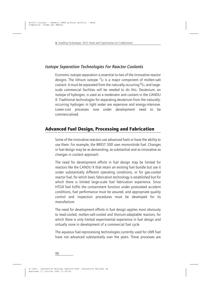#### *Isotope Separation Technologies For Reactor Coolants*

Economic isotope separation is essential to two of the innovative reactor designs. The lithium isotope  $7Li$  is a major component of molten-salt coolant. It must be separated from the naturally-occurring  $6Li$ , and largescale commercial facilities will be needed to do this. Deuterium, an isotope of hydrogen, is used as a moderator and coolant in the CANDU X. Traditional technologies for separating deuterium from the naturallyoccurring hydrogen in light water are expensive and energy-intensive. Lower-cost processes now under development need to be commercialised.

# Advanced Fuel Design, Processing and Fabrication

Some of the innovative reactors use advanced fuels or have the ability to use them. For example, the BREST 300 uses mononitride fuel. Changes in fuel design may be as demanding, as substantial and as innovative as changes in coolant approach.

The need for development efforts in fuel design may be limited for reactors like the CANDU X that retain an existing fuel bundle but use it under substantially different operating conditions, or for gas-cooled reactor fuel, for which basic fabrication technology is established but for which there is limited large-scale fuel fabrication experience. Since HTGR fuel fulfils the containment function under postulated accident conditions, fuel performance must be assured, and appropriate quality control and inspection procedures must be developed for its manufacture.

The need for development efforts in fuel design applies most obviously to lead-cooled, molten-salt-cooled and thorium-adaptable reactors, for which there is only limited experimental experience in fuel design and virtually none in development of a commercial fuel cycle.

The aqueous fuel-reprocessing technologies currently used for LWR fuel have not advanced substantially over the years. These processes are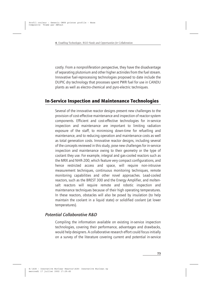costly. From a nonproliferation perspective, they have the disadvantage of separating plutonium and other higher actinides from the fuel stream. Innovative fuel-reprocessing technologies proposed to date include the DUPIC dry technology that processes spent PWR fuel for use in CANDU plants as well as electro-chemical and pyro-electric techniques.

# In-Service Inspection and Maintenance Technologies

Several of the innovative reactor designs present new challenges to the provision of cost-effective maintenance and inspection of reactor-system components. Efficient and cost-effective technologies for in-service inspection and maintenance are important to limiting radiation exposure of the staff, to minimising down-time for refuelling and maintenance, and to reducing operation and maintenance costs as well as total generation costs. Innovative reactor designs, including several of the concepts reviewed in this study, pose new challenges for in-service inspection and maintenance owing to their geometry or the type of coolant they use. For example, integral and gas-cooled reactors such as the MRX and NHR-200, which feature very compact configurations, and hence restricted access and space, will require non-intrusive measurement techniques, continuous monitoring techniques, remote monitoring capabilities and other novel approaches. Lead-cooled reactors, such as the BREST 300 and the Energy Amplifier, and moltensalt reactors will require remote and robotic inspection and maintenance techniques because of their high operating temperatures. In these reactors, obstacles will also be posed by insulation (to help maintain the coolant in a liquid state) or solidified coolant (at lower temperatures).

#### *Potential Collaborative R&D*

Compiling the information available on existing in-service inspection technologies, covering their performance, advantages and drawbacks, would help designers. A collaborative research effort could focus initially on a survey of the literature covering current and potential in-service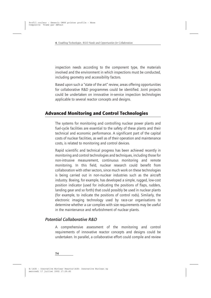inspection needs according to the component type, the materials involved and the environment in which inspections must be conducted, including geometry and accessibility factors.

Based upon such a "state of the art" review, areas offering opportunities for collaborative R&D programmes could be identified. Joint projects could be undertaken on innovative in-service inspection technologies applicable to several reactor concepts and designs.

# Advanced Monitoring and Control Technologies

The systems for monitoring and controlling nuclear power plants and fuel-cycle facilities are essential to the safety of these plants and their technical and economic performance. A significant part of the capital costs of nuclear facilities, as well as of their operation and maintenance costs, is related to monitoring and control devices.

Rapid scientific and technical progress has been achieved recently in monitoring and control technologies and techniques, including those for non-intrusive measurement, continuous monitoring and remote monitoring. In this field, nuclear research could benefit from collaboration with other sectors, since much work on these technologies is being carried out in non-nuclear industries such as the aircraft industry. Boeing, for example, has developed a simple, rugged, low-cost position indicator (used for indicating the positions of flaps, rudders, landing gear and so forth) that could possibly be used in nuclear plants (for example, to indicate the positions of control rods). Similarly, the electronic imaging technology used by race-car organisations to determine whether a car complies with size requirements may be useful in the maintenance and refurbishment of nuclear plants.

#### *Potential Collaborative R&D*

A comprehensive assessment of the monitoring and control requirements of innovative reactor concepts and designs could be undertaken. In parallel, a collaborative effort could compile and review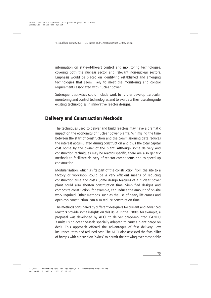information on state-of-the-art control and monitoring technologies, covering both the nuclear sector and relevant non-nuclear sectors. Emphasis would be placed on identifying established and emerging technologies that seem likely to meet the monitoring and control requirements associated with nuclear power.

Subsequent activities could include work to further develop particular monitoring and control technologies and to evaluate their use alongside existing technologies in innovative reactor designs.

# Delivery and Construction Methods

The techniques used to deliver and build reactors may have a dramatic impact on the economics of nuclear power plants. Minimising the time between the start of construction and the commissioning date reduces the interest accumulated during construction and thus the total capital cost borne by the owner of the plant. Although some delivery and construction techniques may be reactor-specific, there are also generic methods to facilitate delivery of reactor components and to speed up construction.

Modularisation, which shifts part of the construction from the site to a factory or workshop, could be a very efficient means of reducing construction time and costs. Some design features of a nuclear power plant could also shorten construction time. Simplified designs and composite construction, for example, can reduce the amount of on-site work required. Other methods, such as the use of heavy lift cranes and open-top construction, can also reduce construction time.

The methods considered by different designers for current and advanced reactors provide some insights on this issue. In the 1980s, for example, a proposal was developed by AECL to deliver barge-mounted CANDU 3 units using ocean vessels specially adapted to carry a plant barge on deck. This approach offered the advantages of fast delivery, low insurance rates and reduced cost. The AECL also assessed the feasibility of barges with air-cushion "skirts" to permit their towing over reasonably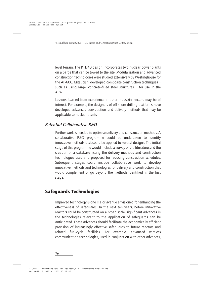level terrain. The KTL-40 design incorporates two nuclear power plants on a barge that can be towed to the site. Modularisation and advanced construction technologies were studied extensively by Westinghouse for the AP-600. Mitsubishi developed composite construction techniques – such as using large, concrete-filled steel structures – for use in the APWR.

Lessons learned from experience in other industrial sectors may be of interest. For example, the designers of off-shore drilling platforms have developed advanced construction and delivery methods that may be applicable to nuclear plants.

#### *Potential Collaborative R&D*

Further work is needed to optimise delivery and construction methods. A collaborative R&D programme could be undertaken to identify innovative methods that could be applied to several designs. The initial stage of this programme would include a survey of the literature and the creation of a database listing the delivery methods and construction technologies used and proposed for reducing construction schedules. Subsequent stages could include collaborative work to develop innovative methods and technologies for delivery and construction that would complement or go beyond the methods identified in the first stage.

#### Safeguards Technologies

Improved technology is one major avenue envisioned for enhancing the effectiveness of safeguards. In the next ten years, before innovative reactors could be constructed on a broad scale, significant advances in the technologies relevant to the application of safeguards can be anticipated. These advances should facilitate the economically efficient provision of increasingly effective safeguards to future reactors and related fuel-cycle facilities. For example, advanced wireless communication technologies, used in conjunction with other advances,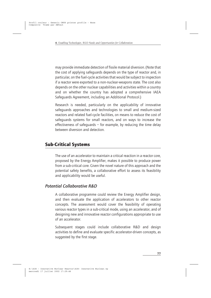may provide immediate detection of fissile material diversion. (Note that the cost of applying safeguards depends on the type of reactor and, in particular, on the fuel-cycle activities that would be subject to inspection if a reactor were exported to a non-nuclear-weapons state. The cost also depends on the other nuclear capabilities and activities within a country and on whether the country has adopted a comprehensive IAEA Safeguards Agreement, including an Additional Protocol.)

Research is needed, particularly on the applicability of innovative safeguards approaches and technologies to small and medium-sized reactors and related fuel-cycle facilities, on means to reduce the cost of safeguards systems for small reactors, and on ways to increase the effectiveness of safeguards  $-$  for example, by reducing the time delay between diversion and detection.

# Sub-Critical Systems

The use of an accelerator to maintain a critical reaction in a reactor core, proposed by the Energy Amplifier, makes it possible to produce power from a sub-critical core. Given the novel nature of this approach and the potential safety benefits, a collaborative effort to assess its feasibility and applicability would be useful.

#### *Potential Collaborative R&D*

A collaborative programme could review the Energy Amplifier design, and then evaluate the application of accelerators to other reactor concepts. The assessment would cover the feasibility of operating various reactor types in a sub-critical mode, using an accelerator, and of designing new and innovative reactor configurations appropriate to use of an accelerator.

Subsequent stages could include collaborative R&D and design activities to define and evaluate specific accelerator-driven concepts, as suggested by the first stage.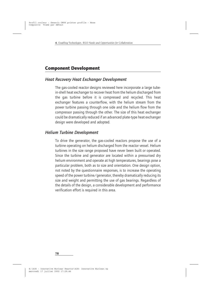#### Component Development

#### *Heat Recovery Heat Exchanger Development*

The gas-cooled reactor designs reviewed here incorporate a large tubein-shell heat exchanger to recover heat from the helium discharged from the gas turbine before it is compressed and recycled. This heat exchanger features a counterflow, with the helium stream from the power turbine passing through one side and the helium flow from the compressor passing through the other. The size of this heat exchanger could be dramatically reduced if an advanced plate-type heat exchanger design were developed and adopted.

#### *Helium Turbine Development*

To drive the generator, the gas-cooled reactors propose the use of a turbine operating on helium discharged from the reactor vessel. Helium turbines in the size range proposed have never been built or operated. Since the turbine and generator are located within a pressurised dry helium environment and operate at high temperatures, bearings pose a particular problem, both as to size and orientation. One design option, not noted by the questionnaire responses, is to increase the operating speed of the power turbine/generator, thereby dramatically reducing its size and weight and permitting the use of gas bearings. Regardless of the details of the design, a considerable development and performance verification effort is required in this area.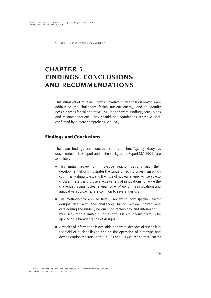# **CHAPTER 5 FINDINGS, CONCLUSIONS AND RECOMMENDATIONS**

This initial effort to review how innovative nuclear-fission reactors are addressing the challenges facing nuclear energy, and to identify possible areas for collaborative R&D, led to several findings, conclusions and recommendations. They should be regarded as tentative until confirmed by a more comprehensive survey.

#### Findings and Conclusions

The main findings and conclusions of the Three-Agency Study, as documented in this report and in the Background Report (3A 2001), are as follows:

- This initial review of innovative reactor designs and their development efforts illustrates the range of technologies from which countries wishing to expand their use of nuclear energy will be able to choose. These designs use a wide variety of innovations to tackle the challenges facing nuclear energy today. Many of the innovations and innovative approaches are common to several designs.
- $\blacksquare$  The methodology applied here reviewing how specific reactor designs deal with the challenges facing nuclear power, and cataloguing the underlying enabling technology and information – was useful for the limited purposes of this study. It could fruitfully be applied to a broader range of designs.
- A wealth of information is available on several decades of research in the field of nuclear fission and on the operation of prototype and demonstration reactors in the 1950s and 1960s. Yet current reactor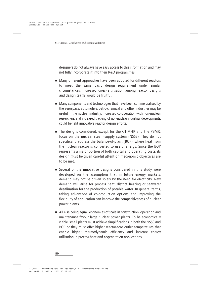designers do not always have easy access to this information and may not fully incorporate it into their R&D programmes.

- Many different approaches have been adopted for different reactors to meet the same basic design requirement under similar circumstances. Increased cross-fertilisation among reactor designs and design teams would be fruitful.
- Many components and technologies that have been commercialised by the aerospace, automotive, petro-chemical and other industries may be useful in the nuclear industry. Increased co-operation with non-nuclear researchers, and increased tracking of non-nuclear industrial developments, could benefit innovative reactor design efforts.
- The designs considered, except for the GT-MHR and the PBMR, focus on the nuclear steam-supply system (NSSS). They do not specifically address the balance-of-plant (BOP), where heat from the nuclear reactor is converted to useful energy. Since the BOP represents a major portion of both capital and operating costs, its design must be given careful attention if economic objectives are to be met.
- Several of the innovative designs considered in this study were developed on the assumption that in future energy markets, demand may not be driven solely by the need for electricity. New demand will arise for process heat, district heating or seawater desalination for the production of potable water. In general terms, taking advantage of co-production options and improving the flexibility of application can improve the competitiveness of nuclear power plants.
- All else being equal, economies of scale in construction, operation and maintenance favour large nuclear power plants. To be economically viable, small plants must achieve simplifications in both the NSSS and BOP or they must offer higher reactor-core outlet temperatures that enable higher thermodynamic efficiency and increase energy utilisation in process-heat and cogeneration applications.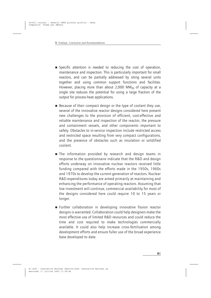- Specific attention is needed to reducing the cost of operation, maintenance and inspection. This is particularly important for small reactors, and can be partially addressed by siting several units together and using common support functions and facilities. However, placing more than about 2,000 MW<sub>th</sub> of capacity at a single site reduces the potential for using a large fraction of the output for process-heat applications.
- Because of their compact design or the type of coolant they use, several of the innovative reactor designs considered here present new challenges to the provision of efficient, cost-effective and reliable maintenance and inspection of the reactor, the pressure and containment vessels, and other components important to safety. Obstacles to in-service inspection include restricted access and restricted space resulting from very compact configurations, and the presence of obstacles such as insulation or solidified coolant.
- The information provided by research and design teams in response to the questionnaire indicate that the R&D and design efforts underway on innovative nuclear reactors received little funding compared with the efforts made in the 1950s, 1960s and 1970s to develop the current generation of reactors. Nuclear R&D expenditures today are aimed primarily at maintaining and enhancing the performance of operating reactors. Assuming that low investment will continue, commercial availability for most of the designs considered here could require 10 to 15 years or longer.
- Further collaboration in developing innovative fission reactor designs is warranted. Collaboration could help designers make the most effective use of limited R&D resources and could reduce the time and cost required to make technologies commercially available. It could also help increase cross-fertilisation among development efforts and ensure fuller use of the broad experience base developed to date.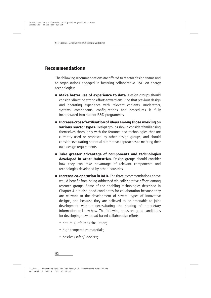#### Recommendations

The following recommendations are offered to reactor design teams and to organisations engaged in fostering collaborative R&D on energy technologies:

- **Make better use of experience to date.** Design groups should consider directing strong efforts toward ensuring that previous design and operating experience with relevant coolants, moderators, systems, components, configurations and procedures is fully incorporated into current R&D programmes.
- Increase cross-fertilisation of ideas among those working on **various reactor types.** Design groups should consider familiarising themselves thoroughly with the features and technologies that are currently used or proposed by other design groups, and should consider evaluating potential alternative approaches to meeting their own design requirements.
- In Take greater advantage of components and technologies developed in other industries. Design groups should consider how they can take advantage of relevant components and technologies developed by other industries.
- **Increase co-operation in R&D.** The three recommendations above would benefit from being addressed via collaborative efforts among research groups. Some of the enabling technologies described in Chapter 4 are also good candidates for collaboration because they are relevant to the development of several types of innovative designs, and because they are believed to be amenable to joint development without necessitating the sharing of proprietary information or know-how. The following areas are good candidates for developing new, broad-based collaborative efforts:
	- natural (unforced) circulation;
	- high-temperature materials;
	- passive (safety) devices;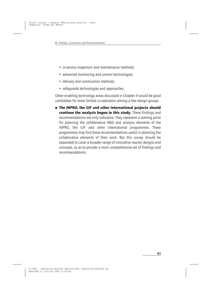- in-service inspection and maintenance methods;
- advanced monitoring and control technologies;
- delivery and construction methods;
- safeguards technologies and approaches.

Other enabling technology areas discussed in Chapter 4 would be good candidates for more limited co-operation among a few design groups.

 The INPRO, the GIF and other international projects should continue the analysis begun in this study. These findings and recommendations are only indicative. They represent a starting point for planning the collaborative R&D and analysis elements of the INPRO, the GIF and other international programmes. These programmes may find these recommendations useful in planning the collaborative elements of their work. But this survey should be expanded to cover a broader range of innovative reactor designs and concepts, so as to provide a more comprehensive set of findings and recommendations.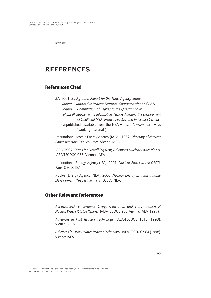## **REFERENCES**

## References Cited

3A. 2001. *Background Report for the Three-Agency Study*. *Volume I: Innovative Reactor Features, Characteristics and R&D Volume II: Compilation of Replies to the Questionnaire Volume III: Supplemental Information: Factors Affecting the Development of Small and Medium-Sized Reactors and Innovative Designs* (unpublished; available from the NEA – http:  $\angle$ /www.nea.fr – as "working material")

International Atomic Energy Agency (IAEA). 1962. *Directory of Nuclear Power Reactors*. Ten Volumes. Vienna: IAEA.

IAEA. 1997. *Terms for Describing New, Advanced Nuclear Power Plants*. IAEA-TECDOC-936*.* Vienna: IAEA.

International Energy Agency (IEA). 2001. *Nuclear Power in the OECD*. Paris: OECD/IEA.

Nuclear Energy Agency (NEA). 2000. *Nuclear Energy in a Sustainable Development Perspective*. Paris: OECD/NEA.

## Other Relevant References

*Accelerator-Driven Systems: Energy Generation and Transmutation of Nuclear Waste (Status Report)*. IAEA-TECDOC-985. Vienna: IAEA (1997).

*Advances in Fast Reactor Technology*. IAEA-TECDOC 1015 (1998). Vienna: IAEA.

*Advances in Heavy Water Reactor Technology*. IAEA-TECDOC-984 (1998). Vienna: IAEA.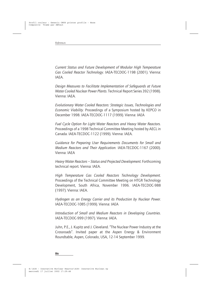*Current Status and Future Development of Modular High Temperature Gas Cooled Reactor Technology*. IAEA-TECDOC-1198 (2001). Vienna: IAEA.

*Design Measures to Facilitate Implementation of Safeguards at Future Water Cooled Nuclear Power Plants*. Technical Report Series 392 (1998). Vienna: IAEA.

*Evolutionary Water Cooled Reactors: Strategic Issues, Technologies and Economic Viability.* Proceedings of a Symposium hosted by KEPCO in December 1998. IAEA-TECDOC-1117 (1999). Vienna: IAEA

*Fuel Cycle Option for Light Water Reactors and Heavy Water Reactors.* Proceedings of a 1998 Technical Committee Meeting hosted by AECL in Canada. IAEA-TECDOC-1122 (1999). Vienna: IAEA.

*Guidance for Preparing User Requirements Documents for Small and Medium Reactors and Their Application.* IAEA-TECDOC-1167 (2000). Vienna: IAEA

*Heavy Water Reactors – Status and Projected Development*. Forthcoming technical report. Vienna: IAEA.

*High Temperature Gas Cooled Reactors Technology Development*. Proceedings of the Technical Committee Meeting on HTGR Technology Development, South Africa, November 1996. IAEA-TECDOC-988 (1997). Vienna: IAEA.

*Hydrogen as an Energy Carrier and its Production by Nuclear Power*. IAEA-TECDOC-1085 (1999). Vienna: IAEA

*Introduction of Small and Medium Reactors in Developing Countries*. IAEA-TECDOC-999 (1997). Vienna: IAEA.

Juhn, P.E., J. Kupitz and J. Cleveland. "The Nuclear Power Industry at the Crossroads". Invited paper at the Aspen Energy & Environment Roundtable, Aspen, Colorado, USA, 12-14 September 1999.

**86**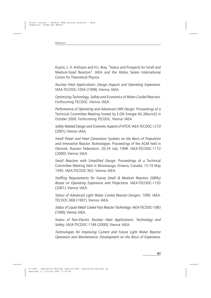Kupitz, J., V. Arkhipov and H.L. Brey. "Status and Prospects for Small and Medium-Sized Reactors". IAEA and the Abdus Salam International Centre for Theoretical Physics.

*Nuclear Heat Applications: Design Aspects and Operating Experience*. IAEA-TECDOC-1056 (1998). Vienna: IAEA.

*Optimising Technology, Safety and Economics of Water-Cooled Reactors*. Forthcoming TECDOC. Vienna: IAEA.

*Performance of Operating and Advanced LWR Design.* Proceedings of a Technical Committee Meeting hosted by E.ON Energie AG (Munich) in October 2000. Forthcoming TECDOC. Vienna: IAEA

*Safety Related Design and Economic Aspects of HTGR.* IAEA-TECDOC-1210 (2001). Vienna: IAEA.

*Small Power and Heat Generation Systems on the Basis of Propulsion and Innovative Reactor Technologies*. Proceedings of the AGM held in Obninsk, Russian Federation, 20-24 July 1998. IAEA-TECDOC-1172 (2000). Vienna: IAEA

*Small Reactors with Simplified Design*. Proceedings of a Technical Committee Meeting held in Mississauga, Ontario, Canada, 15-19 May 1995. IAEA-TECDOC-962. Vienna: IAEA.

*Staffing Requirements for Future Small & Medium Reactors (SMRs) Based on Operating Experience and Projections.* IAEA-TECDOC-1193 (2001). Vienna: IAEA

*Status of Advanced Light Water Cooled Reactor Designs: 1996*. IAEA-TECDOC-968 (1997). Vienna: IAEA.

*Status of Liquid Metal Cooled Fast Reactor Technology*. IAEA-TECDOC-1083 (1999). Vienna: IAEA.

*Status of Non-Electric Nuclear Heat Applications: Technology and Safety*. IAEA-TECDOC-1184 (2000). Vienna: IAEA.

*Technologies for Improving Current and Future Light Water Reactor Operation and Maintenance: Development on the Basis of Experience.*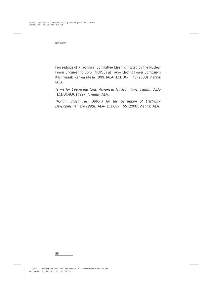Proceedings of a Technical Committee Meeting hosted by the Nuclear Power Engineering Corp. (NUPEC) at Tokyo Electric Power Company's Kashiwazaki-Kariwa site in 1999. IAEA-TECDOC-1175 (2000). Vienna: IAEA

*Terms for Describing New, Advanced Nuclear Power Plants*. IAEA-TECDOC-936 (1997). Vienna: IAEA.

*Thorium Based Fuel Options for the Generation of Electricity: Developments in the 1990s*. IAEA-TECDOC-1155 (2000). Vienna: IAEA.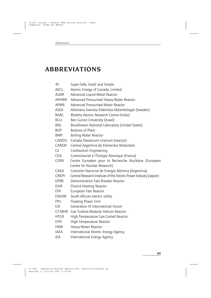# **ABBREVIATIONS**

- 4S Super-Safe, Small and Simple
- AECL Atomic Energy of Canada, Limited
- ALMR Advanced Liquid-Metal Reactor
- APHWR Advanced Pressurised Heavy-Water Reactor
- APWR Advanced Pressurised-Water Reactor
- ASEA Allemana Svenska Elektriska Aktienbolaget (Sweden)
- BARC Bhabha Atomic Research Centre (India)
- BGU Ben Gurion University (Israel)
- BNL Brookhaven National Laboratory (United States)
- BOP Balance of Plant
- BWR Boiling-Water Reactor
- CANDU Canada Deuterium Uranium (reactor)
- CAREM Central Argentina de Elementos Modulares
- CE Combustion Engineering
- CEA Commissariat à l'Énergie Atomique (France)
- CERN Centre Européen pour la Recherche Nucléaire (European Centre for Nuclear Research)
- CNEA Comisión Nacional de Energía Atómica (Argentina)
- CRIEPI Central Research Institute of the Electric Power Industry (Japan)
- DFBR Demonstration Fast Breeder Reactor
- DHR District-Heating Reactor
- EFR European Fast Reactor
- ESKOM South African electric utility
- FPU Floating Power Unit
- GIF Generation IV International Forum
- GT-MHR Gas Turbine-Modular Helium Reactor
- HTGR High-Temperature Gas-Cooled Reactor
- HTR High-Temperature Reactor
- HWR Heavy-Water Reactor
- IAEA International Atomic Energy Agency
- IEA International Energy Agency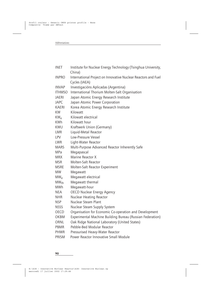| <b>INET</b>     | Institute for Nuclear Energy Technology (Tsinghua University,<br>China)        |
|-----------------|--------------------------------------------------------------------------------|
| <b>INPRO</b>    | International Project on Innovative Nuclear Reactors and Fuel<br>Cycles (IAEA) |
| <b>INVAP</b>    | Investigacións Aplicadas (Argentina)                                           |
| <b>ITHMSO</b>   | International Thorium Molten-Salt Organisation                                 |
| JAERI           | Japan Atomic Energy Research Institute                                         |
| <b>JAPC</b>     | Japan Atomic Power Corporation                                                 |
| <b>KAERI</b>    | Korea Atomic Energy Research Institute                                         |
| <b>KW</b>       | Kilowatt                                                                       |
| KW <sub>e</sub> | Kilowatt electrical                                                            |
| KWh             | Kilowatt hour                                                                  |
| <b>KWU</b>      | Kraftwerk Union (Germany)                                                      |
| LMR             | Liquid-Metal Reactor                                                           |
| LPV             | Low-Pressure Vessel                                                            |
| <b>LWR</b>      | Light-Water Reactor                                                            |
| MARS            | Multi-Purpose Advanced Reactor Inherently Safe                                 |
| <b>MPa</b>      | Megapascal                                                                     |
| MRX             | Marine Reactor X                                                               |
| <b>MSR</b>      | Molten-Salt Reactor                                                            |
| MSRE            | Molten-Salt Reactor Experiment                                                 |
| <b>MW</b>       | Megawatt                                                                       |
| $MW_{e}$        | Megawatt electrical                                                            |
| $MW_{th}$       | Megawatt thermal                                                               |
| <b>MWh</b>      | Megawatt-hour                                                                  |
| NEA             | <b>OECD Nuclear Energy Agency</b>                                              |
| <b>NHR</b>      | Nuclear Heating Reactor                                                        |
| <b>NSP</b>      | Nuclear Steam Plant                                                            |
| <b>NSSS</b>     | Nuclear Steam Supply System                                                    |
| <b>OECD</b>     | Organisation for Economic Co-operation and Development                         |
| <b>OKBM</b>     | Experimental Machine Building Bureau (Russian Federation)                      |
| ORNL            | Oak Ridge National Laboratory (United States)                                  |
| <b>PBMR</b>     | Pebble-Bed Modular Reactor                                                     |
| <b>PHWR</b>     | Pressurised Heavy-Water Reactor                                                |
| <b>PRISM</b>    | Power Reactor Innovative Small Module                                          |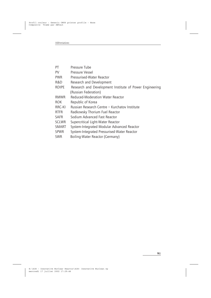PV Pressure Vessel

PWR Pressurised-Water Reactor

- R&D Research and Development
- RDIPE Research and Development Institute of Power Engineering (Russian Federation)
- RMWR Reduced-Moderation Water Reactor
- ROK Republic of Korea
- RRC-KI Russian Research Centre Kurchatov Institute
- RTFR Radkowsky Thorium Fuel Reactor
- SAFR Sodium Advanced Fast Reactor
- SCLWR Supercritical Light-Water Reactor
- SMART System-Integrated Modular Advanced Reactor
- SPWR System-Integrated Pressurised-Water Reactor
- SWR Boiling-Water Reactor (Germany)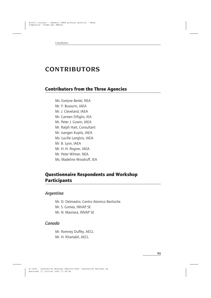## **CONTRIBUTORS**

## Contributors from the Three Agencies

Ms. Evelyne Bertel, NEA Mr. Y. Bussurin, IAEA Mr. J. Cleveland, IAEA Mr. Carmen Difiglio, IEA Mr. Peter J. Gowin, IAEA Mr. Ralph Hart, Consultant Mr. Juergen Kupitz, IAEA Ms. Lucille Langlois, IAEA Mr. B. Lyon, IAEA Mr. H.-H. Rogner, IAEA Mr. Peter Wilmer, NEA Ms. Madeline Woodruff, IEA

## Questionnaire Respondents and Workshop Participants

## *Argentina*

Mr. D. Delmastro, Centro Atomico Bariloche Mr. S. Gomex, INVAP SE Mr. N. Masriera, INVAP SE

### *Canada*

Mr. Romney Duffey, AECL Mr. H. Khartabil, AECL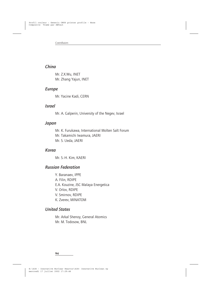#### *China*

Mr. Z.X.Wu, INET Mr. Zhang Yajun, INET

#### *Europe*

Mr. Yacine Kadi, CERN

#### *Israel*

Mr. A. Galperin, University of the Negev, Israel

#### *Japan*

Mr. K. Furukawa, International Molten Salt Forum Mr. Takamichi Iwamura, JAERI Mr. S. Ueda, JAERI

#### *Korea*

Mr. S.-H. Kim, KAERI

#### *Russian Federation*

Y. Baranaev, IPPE A. Filin, RDIPE E.A. Kouzine, JSC Malaya Energetica V. Orlov, RDIPE V. Smirnov, RDIPE K. Zverev, MINATOM

#### *United States*

Mr. Arkal Shenoy, General Atomics Mr. M. Todosow, BNL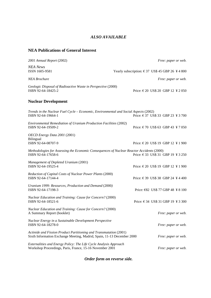### *ALSO AVAILABLE*

### **NEA Publications of General Interest**

| 2001 Annual Report (2002)                                                                                                                    | Free: paper or web.                                  |
|----------------------------------------------------------------------------------------------------------------------------------------------|------------------------------------------------------|
| <b>NEA</b> News<br>ISSN 1605-9581                                                                                                            | Yearly subscription: $\in$ 37 US\$ 45 GBP 26 ¥ 4 800 |
| <b>NEA Brochure</b>                                                                                                                          | <i>Free: paper or web.</i>                           |
| Geologic Disposal of Radioactive Waste in Perspective (2000)<br>ISBN 92-64-18425-2                                                           | Price: € 20 US\$ 20 GBP 12 ¥ 2 050                   |
| <b>Nuclear Development</b>                                                                                                                   |                                                      |
| Trends in the Nuclear Fuel Cycle – Economic, Environmental and Social Aspects (2002)<br>ISBN 92-64-19664-1                                   | Price: $637$ US\$ 33 GBP 23 ¥ 3 700                  |
| Environmental Remediation of Uranium Production Facilities (2002)<br>ISBN 92-64-19509-2                                                      | Price: $\in$ 70 US\$ 63 GBP 43 ¥ 7 050               |
| OECD Energy Data 2001 (2001)<br>Bilingual<br>ISBN 92-64-08707-9                                                                              | Price: € 20 US\$ 19 GBP 12 ¥ 1 900                   |
| Methodologies for Assessing the Economic Consequences of Nuclear Reactor Accidents (2000)<br>ISBN 92-64-17658-6                              | Price: $\in$ 33 US\$ 31 GBP 19 ¥ 3 250               |
| Management of Depleted Uranium (2001)<br>ISBN 92-64-19525-4                                                                                  | Price: $\in 20$ US\$ 19 GBP 12 ¥ 1 900               |
| Reduction of Capital Costs of Nuclear Power Plants (2000)<br>ISBN 92-64-17144-4                                                              | Price: $\in$ 39 US\$ 38 GBP 24 ¥ 4 400               |
| Uranium 1999: Resources, Production and Demand (2000)<br>ISBN 92-64-17198-3                                                                  | Price: $682$ US\$ 77 GBP 48 ¥ 8 100                  |
| Nuclear Education and Training: Cause for Concern? (2000)<br>ISBN 92-64-18521-6                                                              | Price: $€ 34$ US\$ 31 GBP 19 \¥ 3 300                |
| Nuclear Education and Training: Cause for Concern? (2000)<br>A Summary Report (booklet)                                                      | Free: paper or web.                                  |
| Nuclear Energy in a Sustainable Development Perspective<br>ISBN 92-64-18278-0                                                                | Free: paper or web.                                  |
| Actinide and Fission Product Partitioning and Transmutation (2001)<br>Sixth Information Exchange Meeting, Madrid, Spain, 11-13 December 2000 | Free: paper or web.                                  |
| Externalities and Energy Policy: The Life Cycle Analysis Approach<br>Workshop Proceedings, Paris, France, 15-16 November 2001                | Free: paper or web.                                  |

*Order form on reverse side.*